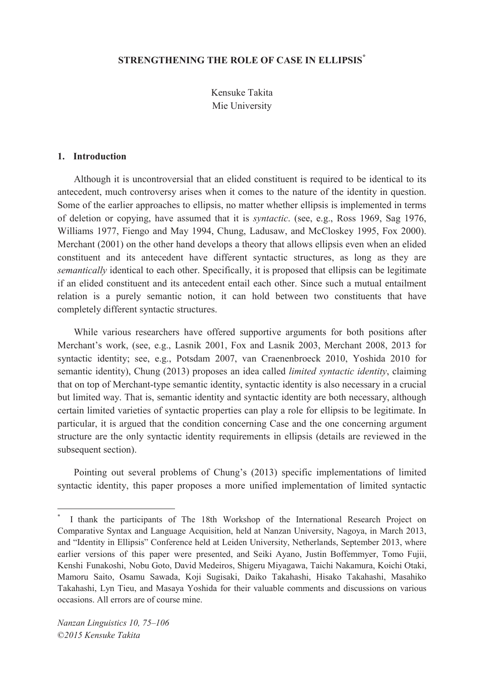# **STRENGTHENING THE ROLE OF CASE IN ELLIPSIS\***

Kensuke Takita Mie University

#### **1. Introduction**

Although it is uncontroversial that an elided constituent is required to be identical to its antecedent, much controversy arises when it comes to the nature of the identity in question. Some of the earlier approaches to ellipsis, no matter whether ellipsis is implemented in terms of deletion or copying, have assumed that it is *syntactic*. (see, e.g., Ross 1969, Sag 1976, Williams 1977, Fiengo and May 1994, Chung, Ladusaw, and McCloskey 1995, Fox 2000). Merchant (2001) on the other hand develops a theory that allows ellipsis even when an elided constituent and its antecedent have different syntactic structures, as long as they are *semantically* identical to each other. Specifically, it is proposed that ellipsis can be legitimate if an elided constituent and its antecedent entail each other. Since such a mutual entailment relation is a purely semantic notion, it can hold between two constituents that have completely different syntactic structures.

While various researchers have offered supportive arguments for both positions after Merchant's work, (see, e.g., Lasnik 2001, Fox and Lasnik 2003, Merchant 2008, 2013 for syntactic identity; see, e.g., Potsdam 2007, van Craenenbroeck 2010, Yoshida 2010 for semantic identity), Chung (2013) proposes an idea called *limited syntactic identity*, claiming that on top of Merchant-type semantic identity, syntactic identity is also necessary in a crucial but limited way. That is, semantic identity and syntactic identity are both necessary, although certain limited varieties of syntactic properties can play a role for ellipsis to be legitimate. In particular, it is argued that the condition concerning Case and the one concerning argument structure are the only syntactic identity requirements in ellipsis (details are reviewed in the subsequent section).

Pointing out several problems of Chung's (2013) specific implementations of limited syntactic identity, this paper proposes a more unified implementation of limited syntactic

<sup>\*</sup> I thank the participants of The 18th Workshop of the International Research Project on Comparative Syntax and Language Acquisition, held at Nanzan University, Nagoya, in March 2013, and "Identity in Ellipsis" Conference held at Leiden University, Netherlands, September 2013, where earlier versions of this paper were presented, and Seiki Ayano, Justin Boffemmyer, Tomo Fujii, Kenshi Funakoshi, Nobu Goto, David Medeiros, Shigeru Miyagawa, Taichi Nakamura, Koichi Otaki, Mamoru Saito, Osamu Sawada, Koji Sugisaki, Daiko Takahashi, Hisako Takahashi, Masahiko Takahashi, Lyn Tieu, and Masaya Yoshida for their valuable comments and discussions on various occasions. All errors are of course mine.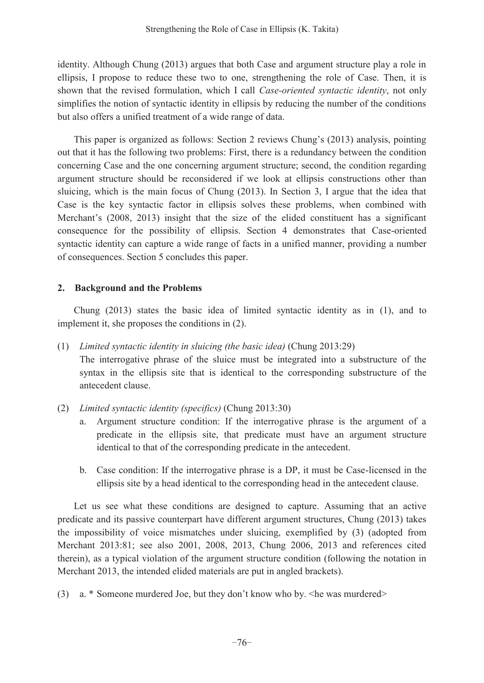identity. Although Chung (2013) argues that both Case and argument structure play a role in ellipsis, I propose to reduce these two to one, strengthening the role of Case. Then, it is shown that the revised formulation, which I call *Case-oriented syntactic identity*, not only simplifies the notion of syntactic identity in ellipsis by reducing the number of the conditions but also offers a unified treatment of a wide range of data.

This paper is organized as follows: Section 2 reviews Chung's  $(2013)$  analysis, pointing out that it has the following two problems: First, there is a redundancy between the condition concerning Case and the one concerning argument structure; second, the condition regarding argument structure should be reconsidered if we look at ellipsis constructions other than sluicing, which is the main focus of Chung (2013). In Section 3, I argue that the idea that Case is the key syntactic factor in ellipsis solves these problems, when combined with Merchant's (2008, 2013) insight that the size of the elided constituent has a significant consequence for the possibility of ellipsis. Section 4 demonstrates that Case-oriented syntactic identity can capture a wide range of facts in a unified manner, providing a number of consequences. Section 5 concludes this paper.

### **2. Background and the Problems**

Chung (2013) states the basic idea of limited syntactic identity as in (1), and to implement it, she proposes the conditions in (2).

- (1) *Limited syntactic identity in sluicing (the basic idea)* (Chung 2013:29) The interrogative phrase of the sluice must be integrated into a substructure of the syntax in the ellipsis site that is identical to the corresponding substructure of the antecedent clause.
- (2) *Limited syntactic identity (specifics)* (Chung 2013:30)
	- a. Argument structure condition: If the interrogative phrase is the argument of a predicate in the ellipsis site, that predicate must have an argument structure identical to that of the corresponding predicate in the antecedent.
	- b. Case condition: If the interrogative phrase is a DP, it must be Case-licensed in the ellipsis site by a head identical to the corresponding head in the antecedent clause.

Let us see what these conditions are designed to capture. Assuming that an active predicate and its passive counterpart have different argument structures, Chung (2013) takes the impossibility of voice mismatches under sluicing, exemplified by (3) (adopted from Merchant 2013:81; see also 2001, 2008, 2013, Chung 2006, 2013 and references cited therein), as a typical violation of the argument structure condition (following the notation in Merchant 2013, the intended elided materials are put in angled brackets).

(3) a. \* Someone murdered Joe, but they don't know who by.  $\leq$ he was murdered $\geq$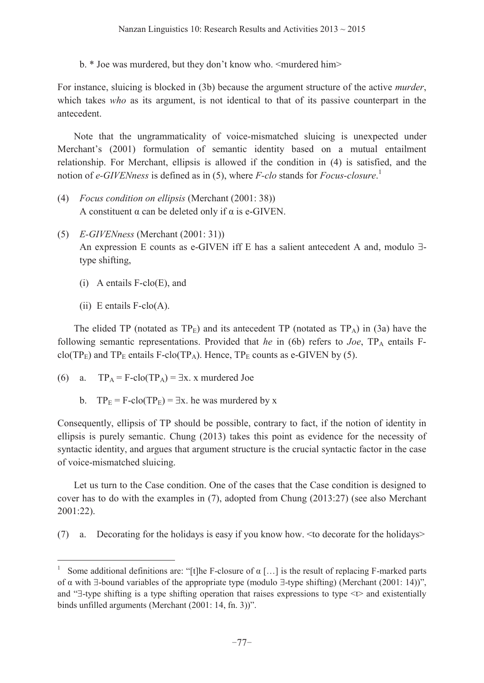b.  $*$  Joe was murdered, but they don't know who.  $\leq$ murdered him $\geq$ 

For instance, sluicing is blocked in (3b) because the argument structure of the active *murder*, which takes *who* as its argument, is not identical to that of its passive counterpart in the antecedent.

Note that the ungrammaticality of voice-mismatched sluicing is unexpected under Merchant's (2001) formulation of semantic identity based on a mutual entailment relationship. For Merchant, ellipsis is allowed if the condition in (4) is satisfied, and the notion of *e-GIVENness* is defined as in (5), where *F-clo* stands for *Focus-closure*. 1

- (4) *Focus condition on ellipsis* (Merchant (2001: 38)) A constituent  $\alpha$  can be deleted only if  $\alpha$  is e-GIVEN.
- (5) *E-GIVENness* (Merchant (2001: 31)) An expression E counts as e-GIVEN iff E has a salient antecedent A and, modulo  $\exists$ type shifting,
	- (i) A entails F-clo(E), and
	- $(ii)$  E entails F-clo $(A)$ .

 $\overline{a}$ 

The elided TP (notated as  $TP_E$ ) and its antecedent TP (notated as  $TP_A$ ) in (3a) have the following semantic representations. Provided that *he* in (6b) refers to *Joe*, TPA entails Fclo(TP<sub>E</sub>) and TP<sub>E</sub> entails F-clo(TP<sub>A</sub>). Hence, TP<sub>E</sub> counts as e-GIVEN by (5).

- (6) a.  $TP_A = F\text{-clo}(TP_A) = \exists x. x$  murdered Joe
	- b.  $TP_E = F\text{-clo}(TP_E) = \exists x$ . he was murdered by x

Consequently, ellipsis of TP should be possible, contrary to fact, if the notion of identity in ellipsis is purely semantic. Chung (2013) takes this point as evidence for the necessity of syntactic identity, and argues that argument structure is the crucial syntactic factor in the case of voice-mismatched sluicing.

Let us turn to the Case condition. One of the cases that the Case condition is designed to cover has to do with the examples in (7), adopted from Chung (2013:27) (see also Merchant 2001:22).

(7) a. Decorating for the holidays is easy if you know how. <to decorate for the holidays>

<sup>&</sup>lt;sup>1</sup> Some additional definitions are: "[t]he F-closure of  $\alpha$  [...] is the result of replacing F-marked parts of  $\alpha$  with  $\exists$ -bound variables of the appropriate type (modulo  $\exists$ -type shifting) (Merchant (2001: 14))", and " $\exists$ -type shifting is a type shifting operation that raises expressions to type  $\lt\downarrow$  and existentially binds unfilled arguments (Merchant (2001: 14, fn. 3))".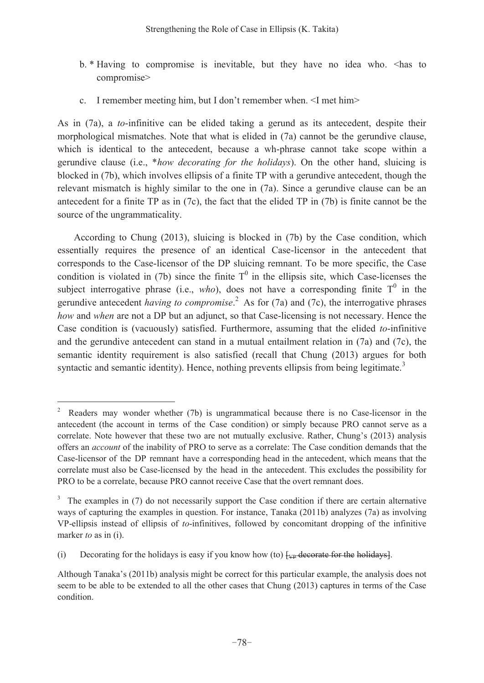- b. \* Having to compromise is inevitable, but they have no idea who. <has to compromise>
- c. I remember meeting him, but I don't remember when.  $\leq$ I met him $\geq$

As in (7a), a *to*-infinitive can be elided taking a gerund as its antecedent, despite their morphological mismatches. Note that what is elided in (7a) cannot be the gerundive clause, which is identical to the antecedent, because a wh-phrase cannot take scope within a gerundive clause (i.e., \**how decorating for the holidays*). On the other hand, sluicing is blocked in (7b), which involves ellipsis of a finite TP with a gerundive antecedent, though the relevant mismatch is highly similar to the one in (7a). Since a gerundive clause can be an antecedent for a finite TP as in (7c), the fact that the elided TP in (7b) is finite cannot be the source of the ungrammaticality.

According to Chung (2013), sluicing is blocked in (7b) by the Case condition, which essentially requires the presence of an identical Case-licensor in the antecedent that corresponds to the Case-licensor of the DP sluicing remnant. To be more specific, the Case condition is violated in (7b) since the finite  $T^0$  in the ellipsis site, which Case-licenses the subject interrogative phrase (i.e., *who*), does not have a corresponding finite  $T^0$  in the gerundive antecedent *having to compromise*. 2 As for (7a) and (7c), the interrogative phrases *how* and *when* are not a DP but an adjunct, so that Case-licensing is not necessary. Hence the Case condition is (vacuously) satisfied. Furthermore, assuming that the elided *to*-infinitive and the gerundive antecedent can stand in a mutual entailment relation in (7a) and (7c), the semantic identity requirement is also satisfied (recall that Chung (2013) argues for both syntactic and semantic identity). Hence, nothing prevents ellipsis from being legitimate.<sup>3</sup>

<sup>2</sup> Readers may wonder whether (7b) is ungrammatical because there is no Case-licensor in the antecedent (the account in terms of the Case condition) or simply because PRO cannot serve as a correlate. Note however that these two are not mutually exclusive. Rather, Chung's (2013) analysis offers an *account* of the inability of PRO to serve as a correlate: The Case condition demands that the Case-licensor of the DP remnant have a corresponding head in the antecedent, which means that the correlate must also be Case-licensed by the head in the antecedent. This excludes the possibility for PRO to be a correlate, because PRO cannot receive Case that the overt remnant does.

 $3$  The examples in (7) do not necessarily support the Case condition if there are certain alternative ways of capturing the examples in question. For instance, Tanaka (2011b) analyzes (7a) as involving VP-ellipsis instead of ellipsis of *to*-infinitives, followed by concomitant dropping of the infinitive marker *to* as in (i).

<sup>(</sup>i) Decorating for the holidays is easy if you know how (to)  $\frac{1}{2}$  decorate for the holidays.

Although Tanaka's (2011b) analysis might be correct for this particular example, the analysis does not seem to be able to be extended to all the other cases that Chung (2013) captures in terms of the Case condition.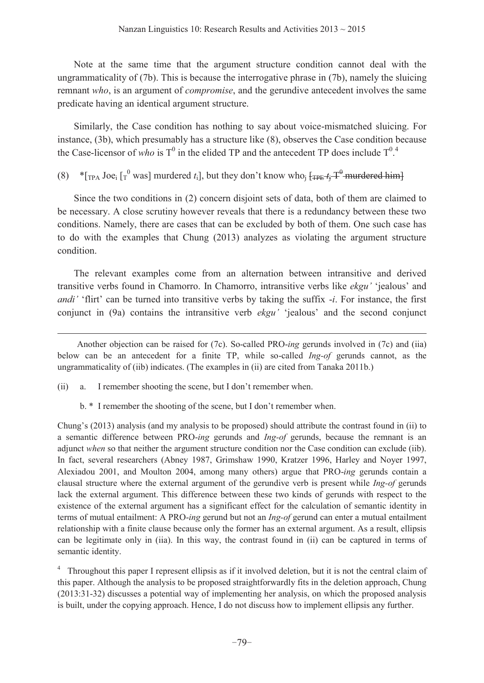Note at the same time that the argument structure condition cannot deal with the ungrammaticality of (7b). This is because the interrogative phrase in (7b), namely the sluicing remnant *who*, is an argument of *compromise*, and the gerundive antecedent involves the same predicate having an identical argument structure.

Similarly, the Case condition has nothing to say about voice-mismatched sluicing. For instance, (3b), which presumably has a structure like (8), observes the Case condition because the Case-licensor of *who* is  $T^0$  in the elided TP and the antecedent TP does include  $T^0$ <sup>4</sup>.

(8)  $*_{\text{TPA}}$  Joe<sub>i</sub>  $\lbrack r^0$  was] murdered *t*<sub>i</sub>], but they don't know who<sub>j</sub>  $\lbrack \text{TPE} + j^0 \text{-murdered him} \rbrack$ 

Since the two conditions in (2) concern disjoint sets of data, both of them are claimed to be necessary. A close scrutiny however reveals that there is a redundancy between these two conditions. Namely, there are cases that can be excluded by both of them. One such case has to do with the examples that Chung (2013) analyzes as violating the argument structure condition.

The relevant examples come from an alternation between intransitive and derived transitive verbs found in Chamorro. In Chamorro, intransitive verbs like *ekgu'* 'jealous' and *andi* 'flirt' can be turned into transitive verbs by taking the suffix  $-i$ . For instance, the first conjunct in (9a) contains the intransitive verb *ekgu'* 'jealous' and the second conjunct

 $(ii)$  a. I remember shooting the scene, but I don't remember when.

 $\overline{a}$ 

 $b.*$  I remember the shooting of the scene, but I don't remember when.

Chung's (2013) analysis (and my analysis to be proposed) should attribute the contrast found in (ii) to a semantic difference between PRO-*ing* gerunds and *Ing-of* gerunds, because the remnant is an adjunct *when* so that neither the argument structure condition nor the Case condition can exclude (iib). In fact, several researchers (Abney 1987, Grimshaw 1990, Kratzer 1996, Harley and Noyer 1997, Alexiadou 2001, and Moulton 2004, among many others) argue that PRO-*ing* gerunds contain a clausal structure where the external argument of the gerundive verb is present while *Ing-of* gerunds lack the external argument. This difference between these two kinds of gerunds with respect to the existence of the external argument has a significant effect for the calculation of semantic identity in terms of mutual entailment: A PRO-*ing* gerund but not an *Ing-of* gerund can enter a mutual entailment relationship with a finite clause because only the former has an external argument. As a result, ellipsis can be legitimate only in (iia). In this way, the contrast found in (ii) can be captured in terms of semantic identity.

<sup>4</sup> Throughout this paper I represent ellipsis as if it involved deletion, but it is not the central claim of this paper. Although the analysis to be proposed straightforwardly fits in the deletion approach, Chung (2013:31-32) discusses a potential way of implementing her analysis, on which the proposed analysis is built, under the copying approach. Hence, I do not discuss how to implement ellipsis any further.

Another objection can be raised for (7c). So-called PRO-*ing* gerunds involved in (7c) and (iia) below can be an antecedent for a finite TP, while so-called *Ing-of* gerunds cannot, as the ungrammaticality of (iib) indicates. (The examples in (ii) are cited from Tanaka 2011b.)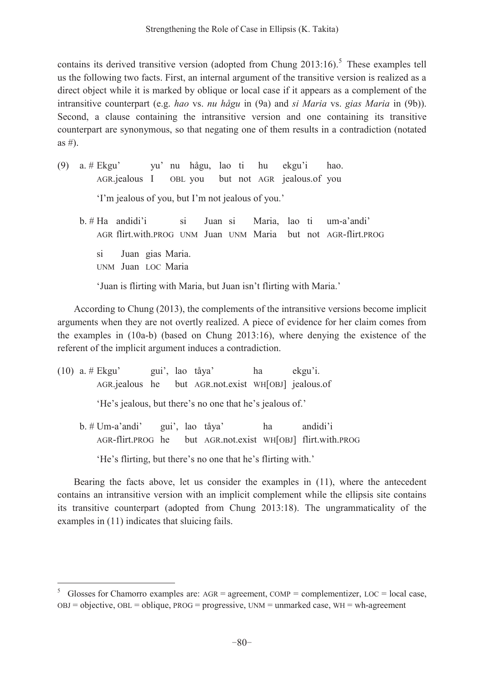contains its derived transitive version (adopted from Chung  $2013:16$ ).<sup>5</sup> These examples tell us the following two facts. First, an internal argument of the transitive version is realized as a direct object while it is marked by oblique or local case if it appears as a complement of the intransitive counterpart (e.g. *hao* vs. *nu hågu* in (9a) and *si Maria* vs. *gias Maria* in (9b)). Second, a clause containing the intransitive version and one containing its transitive counterpart are synonymous, so that negating one of them results in a contradiction (notated as  $#$ ).

- (9) a. #  $E$ kgu' vu' nu hågu, lao ti hu ekgu'i hao. AGR.jealous I OBL you but not AGR jealous.of you 'I'm jealous of you, but I'm not jealous of you.'
	- $b. # Ha$  andidi'i si Juan si Maria, lao ti um-a'andi' AGR flirt.with.PROG UNM Juan UNM Maria but not AGR-flirt.PROG si Juan gias Maria. UNM Juan LOC Maria

'Juan is flirting with Maria, but Juan isn't flirting with Maria.'

According to Chung (2013), the complements of the intransitive versions become implicit arguments when they are not overtly realized. A piece of evidence for her claim comes from the examples in (10a-b) (based on Chung 2013:16), where denying the existence of the referent of the implicit argument induces a contradiction.

|                                                              |                                   |  |  | (10) a. # Ekgu' yui', lao tåya' ha                   |    | ekgu'i.                                                                 |
|--------------------------------------------------------------|-----------------------------------|--|--|------------------------------------------------------|----|-------------------------------------------------------------------------|
|                                                              |                                   |  |  | AGR jealous he but AGR not exist WH [OBJ] jealous of |    |                                                                         |
| 'He's jealous, but there's no one that he's jealous of.'     |                                   |  |  |                                                      |    |                                                                         |
|                                                              | $b. # Um-a'andi'$ gui', lao tåya' |  |  |                                                      | ha | andidi'i<br>AGR-flirt.PROG he but AGR.not.exist WH[OBJ] flirt.with.PROG |
| 'He's flirting, but there's no one that he's flirting with.' |                                   |  |  |                                                      |    |                                                                         |

 $\overline{a}$ 

Bearing the facts above, let us consider the examples in (11), where the antecedent contains an intransitive version with an implicit complement while the ellipsis site contains its transitive counterpart (adopted from Chung 2013:18). The ungrammaticality of the examples in (11) indicates that sluicing fails.

<sup>5</sup> Glosses for Chamorro examples are: AGR = agreement, COMP = complementizer, LOC = local case,  $OBJ = objective$ ,  $OBL = oblique$ ,  $PROG = progressive$ ,  $UNM = unmarked case$ ,  $WH = wh \cdot agreement$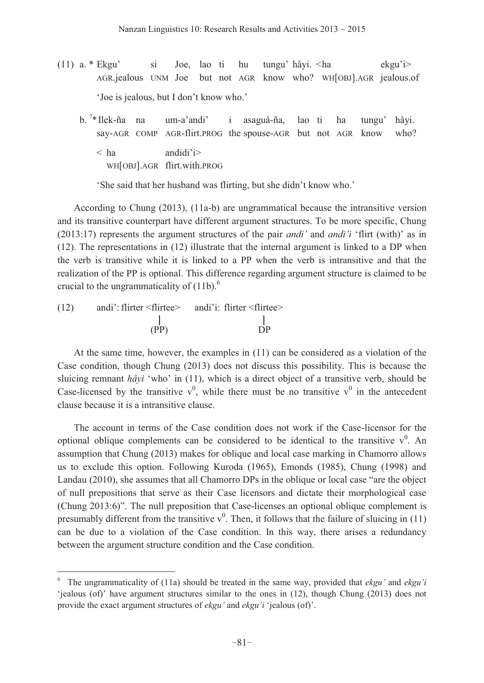- (11) a. \* Ekgu' si Joe, lao ti hu tungu' håyi. < ha ekgu' $\geq$  AGR.jealous UNM Joe but not AGR know who? WH[OBJ].AGR jealous.of 'Joe is jealous, but I don't know who.'
- b. <sup>2</sup>\* Ilek-ña na um-a'andi' i asaguå-ña, lao ti ha tungu' håyi. say-AGR COMP AGR-flirt.PROG the spouse-AGR but not AGR know who?  $\langle$  ha andidi'i> WH[OBJ].AGR flirt.with.PROG

'She said that her husband was flirting, but she didn't know who.'

According to Chung (2013), (11a-b) are ungrammatical because the intransitive version and its transitive counterpart have different argument structures. To be more specific, Chung  $(2013:17)$  represents the argument structures of the pair *andi'* and *andi'i* 'flirt (with)' as in (12). The representations in (12) illustrate that the internal argument is linked to a DP when the verb is transitive while it is linked to a PP when the verb is intransitive and that the realization of the PP is optional. This difference regarding argument structure is claimed to be crucial to the ungrammaticality of  $(11b)$ .<sup>6</sup>

(12) andi': flirter  $\langle$  flirtee> andi'i: flirter  $\langle$  flirtee> (PP) DP

 $\overline{a}$ 

At the same time, however, the examples in (11) can be considered as a violation of the Case condition, though Chung (2013) does not discuss this possibility. This is because the sluicing remnant  $h\hat{a}y$  i (11), which is a direct object of a transitive verb, should be Case-licensed by the transitive  $v^0$ , while there must be no transitive  $v^0$  in the antecedent clause because it is a intransitive clause.

The account in terms of the Case condition does not work if the Case-licensor for the optional oblique complements can be considered to be identical to the transitive  $v^0$ . An assumption that Chung (2013) makes for oblique and local case marking in Chamorro allows us to exclude this option. Following Kuroda (1965), Emonds (1985), Chung (1998) and Landau (2010), she assumes that all Chamorro DPs in the oblique or local case "are the object of null prepositions that serve as their Case licensors and dictate their morphological case  $(Chung 2013:6)$ <sup>"</sup>. The null preposition that Case-licenses an optional oblique complement is presumably different from the transitive  $v^0$ . Then, it follows that the failure of sluicing in (11) can be due to a violation of the Case condition. In this way, there arises a redundancy between the argument structure condition and the Case condition.

<sup>&</sup>lt;sup>6</sup> The ungrammaticality of (11a) should be treated in the same way, provided that *ekgu* and *ekgu* <sup>*i*</sup>  $\phi$  iealous (of)' have argument structures similar to the ones in (12), though Chung (2013) does not provide the exact argument structures of *ekgu and ekgu i* 'jealous (of)'.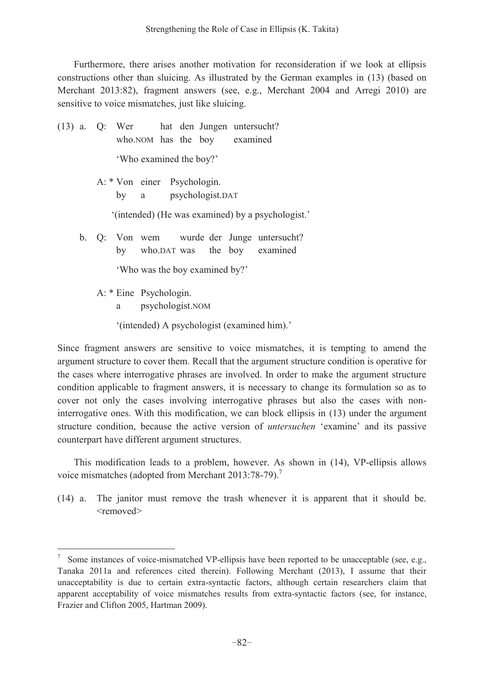Furthermore, there arises another motivation for reconsideration if we look at ellipsis constructions other than sluicing. As illustrated by the German examples in (13) (based on Merchant 2013:82), fragment answers (see, e.g., Merchant 2004 and Arregi 2010) are sensitive to voice mismatches, just like sluicing.

- (13) a. Q: Wer hat den Jungen untersucht? who.NOM has the boy examined 'Who examined the boy?' A: \* Von einer Psychologin.
	- by a psychologist.DAT

 $\lq$ (intended) (He was examined) by a psychologist.'

 b. Q: Von wem wurde der Junge untersucht? by who.DAT was the boy examined

'Who was the boy examined by?'

A: \* Eine Psychologin.

 $\overline{a}$ 

a psychologist.NOM

'(intended) A psychologist (examined him).'

Since fragment answers are sensitive to voice mismatches, it is tempting to amend the argument structure to cover them. Recall that the argument structure condition is operative for the cases where interrogative phrases are involved. In order to make the argument structure condition applicable to fragment answers, it is necessary to change its formulation so as to cover not only the cases involving interrogative phrases but also the cases with noninterrogative ones. With this modification, we can block ellipsis in (13) under the argument structure condition, because the active version of *untersuchen* 'examine' and its passive counterpart have different argument structures.

This modification leads to a problem, however. As shown in (14), VP-ellipsis allows voice mismatches (adopted from Merchant 2013:78-79).<sup>7</sup>

(14) a. The janitor must remove the trash whenever it is apparent that it should be. <removed>

<sup>7</sup> Some instances of voice-mismatched VP-ellipsis have been reported to be unacceptable (see, e.g., Tanaka 2011a and references cited therein). Following Merchant (2013), I assume that their unacceptability is due to certain extra-syntactic factors, although certain researchers claim that apparent acceptability of voice mismatches results from extra-syntactic factors (see, for instance, Frazier and Clifton 2005, Hartman 2009).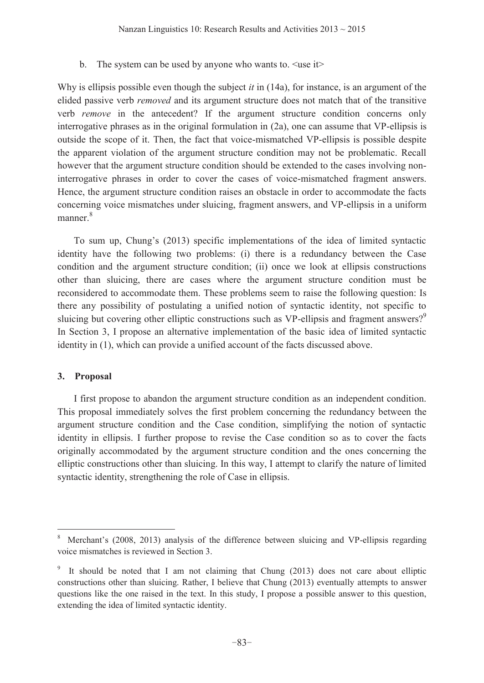b. The system can be used by anyone who wants to.  $\langle$ use it $\rangle$ 

Why is ellipsis possible even though the subject *it* in (14a), for instance, is an argument of the elided passive verb *removed* and its argument structure does not match that of the transitive verb *remove* in the antecedent? If the argument structure condition concerns only interrogative phrases as in the original formulation in (2a), one can assume that VP-ellipsis is outside the scope of it. Then, the fact that voice-mismatched VP-ellipsis is possible despite the apparent violation of the argument structure condition may not be problematic. Recall however that the argument structure condition should be extended to the cases involving noninterrogative phrases in order to cover the cases of voice-mismatched fragment answers. Hence, the argument structure condition raises an obstacle in order to accommodate the facts concerning voice mismatches under sluicing, fragment answers, and VP-ellipsis in a uniform manner<sup>8</sup>

To sum up, Chung's (2013) specific implementations of the idea of limited syntactic identity have the following two problems: (i) there is a redundancy between the Case condition and the argument structure condition; (ii) once we look at ellipsis constructions other than sluicing, there are cases where the argument structure condition must be reconsidered to accommodate them. These problems seem to raise the following question: Is there any possibility of postulating a unified notion of syntactic identity, not specific to sluicing but covering other elliptic constructions such as VP-ellipsis and fragment answers?<sup>9</sup> In Section 3, I propose an alternative implementation of the basic idea of limited syntactic identity in (1), which can provide a unified account of the facts discussed above.

# **3. Proposal**

 $\overline{a}$ 

I first propose to abandon the argument structure condition as an independent condition. This proposal immediately solves the first problem concerning the redundancy between the argument structure condition and the Case condition, simplifying the notion of syntactic identity in ellipsis. I further propose to revise the Case condition so as to cover the facts originally accommodated by the argument structure condition and the ones concerning the elliptic constructions other than sluicing. In this way, I attempt to clarify the nature of limited syntactic identity, strengthening the role of Case in ellipsis.

<sup>8</sup> Merchant's (2008, 2013) analysis of the difference between sluicing and VP-ellipsis regarding voice mismatches is reviewed in Section 3.

<sup>9</sup> It should be noted that I am not claiming that Chung (2013) does not care about elliptic constructions other than sluicing. Rather, I believe that Chung (2013) eventually attempts to answer questions like the one raised in the text. In this study, I propose a possible answer to this question, extending the idea of limited syntactic identity.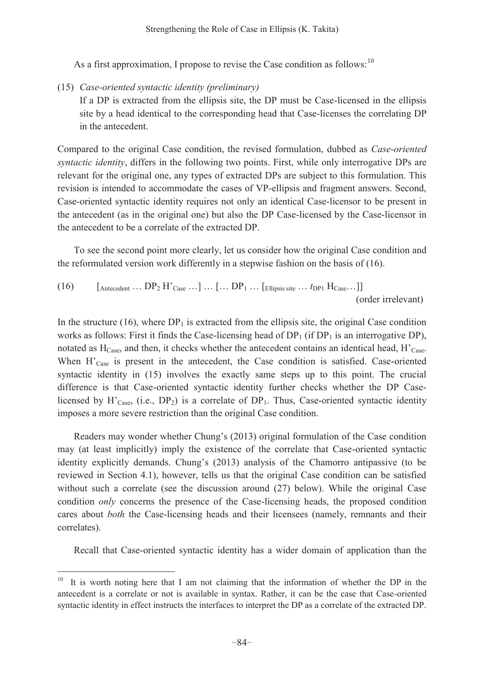As a first approximation, I propose to revise the Case condition as follows:  $10^{\circ}$ 

(15) *Case-oriented syntactic identity (preliminary)* 

If a DP is extracted from the ellipsis site, the DP must be Case-licensed in the ellipsis site by a head identical to the corresponding head that Case-licenses the correlating DP in the antecedent.

Compared to the original Case condition, the revised formulation, dubbed as *Case-oriented syntactic identity*, differs in the following two points. First, while only interrogative DPs are relevant for the original one, any types of extracted DPs are subject to this formulation. This revision is intended to accommodate the cases of VP-ellipsis and fragment answers. Second, Case-oriented syntactic identity requires not only an identical Case-licensor to be present in the antecedent (as in the original one) but also the DP Case-licensed by the Case-licensor in the antecedent to be a correlate of the extracted DP.

To see the second point more clearly, let us consider how the original Case condition and the reformulated version work differently in a stepwise fashion on the basis of (16).

(16) [Antecedent ... DP<sub>2</sub> H'Case ...] ... [... DP<sub>1</sub> ... [Ellipsis site ... 
$$
t_{DP1}
$$
 H<sub>Case</sub>...]] (order irrelevant)

In the structure  $(16)$ , where  $DP<sub>1</sub>$  is extracted from the ellipsis site, the original Case condition works as follows: First it finds the Case-licensing head of  $DP_1$  (if  $DP_1$  is an interrogative DP), notated as  $H<sub>Case</sub>$ , and then, it checks whether the antecedent contains an identical head,  $H<sub>Case</sub>$ . When  $H<sub>Case</sub>$  is present in the antecedent, the Case condition is satisfied. Case-oriented syntactic identity in  $(15)$  involves the exactly same steps up to this point. The crucial difference is that Case-oriented syntactic identity further checks whether the DP Caselicensed by  $H_{\text{Case}}^{\bullet}$ , (i.e., DP<sub>2</sub>) is a correlate of DP<sub>1</sub>. Thus, Case-oriented syntactic identity imposes a more severe restriction than the original Case condition.

Readers may wonder whether Chung's (2013) original formulation of the Case condition may (at least implicitly) imply the existence of the correlate that Case-oriented syntactic identity explicitly demands. Chung's (2013) analysis of the Chamorro antipassive (to be reviewed in Section 4.1), however, tells us that the original Case condition can be satisfied without such a correlate (see the discussion around (27) below). While the original Case condition *only* concerns the presence of the Case-licensing heads, the proposed condition cares about *both* the Case-licensing heads and their licensees (namely, remnants and their correlates).

Recall that Case-oriented syntactic identity has a wider domain of application than the

It is worth noting here that I am not claiming that the information of whether the DP in the antecedent is a correlate or not is available in syntax. Rather, it can be the case that Case-oriented syntactic identity in effect instructs the interfaces to interpret the DP as a correlate of the extracted DP.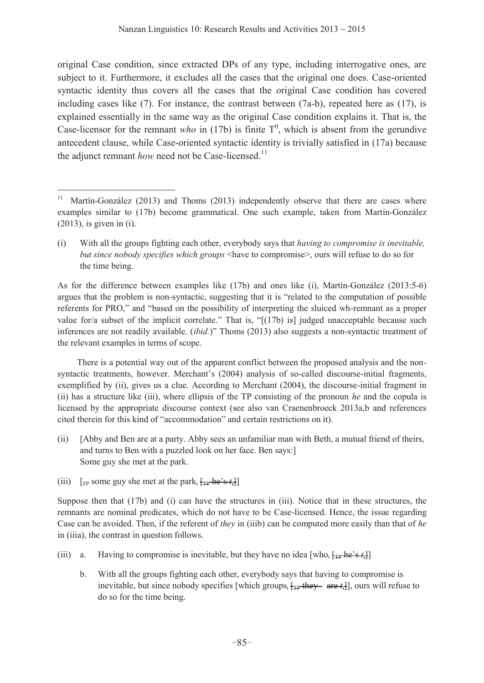original Case condition, since extracted DPs of any type, including interrogative ones, are subject to it. Furthermore, it excludes all the cases that the original one does. Case-oriented syntactic identity thus covers all the cases that the original Case condition has covered including cases like  $(7)$ . For instance, the contrast between  $(7a-b)$ , repeated here as  $(17)$ , is explained essentially in the same way as the original Case condition explains it. That is, the Case-licensor for the remnant *who* in (17b) is finite  $T<sup>0</sup>$ , which is absent from the gerundive antecedent clause, while Case-oriented syntactic identity is trivially satisfied in (17a) because the adjunct remnant *how* need not be Case-licensed.<sup>11</sup>

As for the difference between examples like (17b) and ones like (i), Martín-González (2013:5-6) argues that the problem is non-syntactic, suggesting that it is "related to the computation of possible referents for PRO," and "based on the possibility of interpreting the sluiced wh-remnant as a proper value for/a subset of the implicit correlate." That is,  $\binom{1}{1}$  is] judged unacceptable because such inferences are not readily available. *(ibid.)*" Thoms (2013) also suggests a non-syntactic treatment of the relevant examples in terms of scope.

 There is a potential way out of the apparent conflict between the proposed analysis and the nonsyntactic treatments, however. Merchant's (2004) analysis of so-called discourse-initial fragments, exemplified by (ii), gives us a clue. According to Merchant (2004), the discourse-initial fragment in (ii) has a structure like (iii), where ellipsis of the TP consisting of the pronoun *he* and the copula is licensed by the appropriate discourse context (see also van Craenenbroeck 2013a,b and references cited therein for this kind of "accommodation" and certain restrictions on it).

- (ii) [Abby and Ben are at a party. Abby sees an unfamiliar man with Beth, a mutual friend of theirs, and turns to Ben with a puzzled look on her face. Ben says:] Some guy she met at the park.
- (iii)  $\lceil \frac{1}{\text{FP}} \rceil$  some guy she met at the park<sub>i</sub>  $\lceil \frac{1}{\text{FP}} \cdot \frac{1}{\text{FP}} \rceil$

 $\overline{a}$ 

Suppose then that (17b) and (i) can have the structures in (iii). Notice that in these structures, the remnants are nominal predicates, which do not have to be Case-licensed. Hence, the issue regarding Case can be avoided. Then, if the referent of *they* in (iiib) can be computed more easily than that of *he* in (iiia), the contrast in question follows.

- (iii) a. Having to compromise is inevitable, but they have no idea [who<sub>i</sub>  $[\text{tp}$  he's  $t_i]$ ]
	- b. With all the groups fighting each other, everybody says that having to compromise is inevitable, but since nobody specifies [which groups<sub>i</sub>  $f_{\text{TP}}$  they are  $t_i$ ], ours will refuse to do so for the time being.

<sup>&</sup>lt;sup>11</sup> Martín-González (2013) and Thoms (2013) independently observe that there are cases where examples similar to (17b) become grammatical. One such example, taken from Martín-González (2013), is given in (i).

<sup>(</sup>i) With all the groups fighting each other, everybody says that *having to compromise is inevitable, but since nobody specifies which groups* <have to compromise>, ours will refuse to do so for the time being.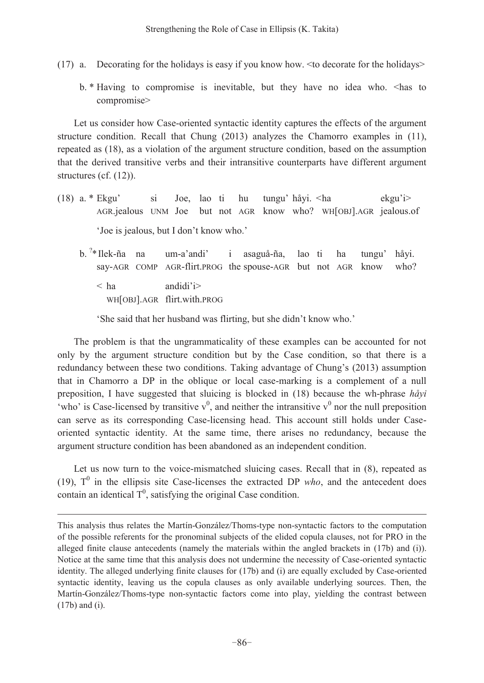- (17) a. Decorating for the holidays is easy if you know how. <to decorate for the holidays>
	- b. \* Having to compromise is inevitable, but they have no idea who. <has to compromise>

Let us consider how Case-oriented syntactic identity captures the effects of the argument structure condition. Recall that Chung (2013) analyzes the Chamorro examples in (11), repeated as (18), as a violation of the argument structure condition, based on the assumption that the derived transitive verbs and their intransitive counterparts have different argument structures (cf. (12)).

- (18) a. \* Ekgu' si Joe, lao ti hu tungu'håyi.  $\langle$ ha ekgu'i $\rangle$  AGR.jealous UNM Joe but not AGR know who? WH[OBJ].AGR jealous.of 'Joe is jealous, but I don't know who.'
- b. <sup>?</sup>\* Ilek-ña na um-a'andi' i asaguå-ña, lao ti ha tungu'håyi. say-AGR COMP AGR-flirt.PROG the spouse-AGR but not AGR know who?  $\langle$  ha andidi'i> WH[OBJ].AGR flirt.with.PROG

'She said that her husband was flirting, but she didn't know who.'

The problem is that the ungrammaticality of these examples can be accounted for not only by the argument structure condition but by the Case condition, so that there is a redundancy between these two conditions. Taking advantage of Chung's (2013) assumption that in Chamorro a DP in the oblique or local case-marking is a complement of a null preposition, I have suggested that sluicing is blocked in (18) because the wh-phrase *håyi* 'who' is Case-licensed by transitive  $v^0$ , and neither the intransitive  $v^0$  nor the null preposition can serve as its corresponding Case-licensing head. This account still holds under Caseoriented syntactic identity. At the same time, there arises no redundancy, because the argument structure condition has been abandoned as an independent condition.

Let us now turn to the voice-mismatched sluicing cases. Recall that in (8), repeated as (19),  $T^0$  in the ellipsis site Case-licenses the extracted DP *who*, and the antecedent does contain an identical  $T^0$ , satisfying the original Case condition.

This analysis thus relates the Martín-González/Thoms-type non-syntactic factors to the computation of the possible referents for the pronominal subjects of the elided copula clauses, not for PRO in the alleged finite clause antecedents (namely the materials within the angled brackets in (17b) and (i)). Notice at the same time that this analysis does not undermine the necessity of Case-oriented syntactic identity. The alleged underlying finite clauses for (17b) and (i) are equally excluded by Case-oriented syntactic identity, leaving us the copula clauses as only available underlying sources. Then, the Martín-González/Thoms-type non-syntactic factors come into play, yielding the contrast between (17b) and (i).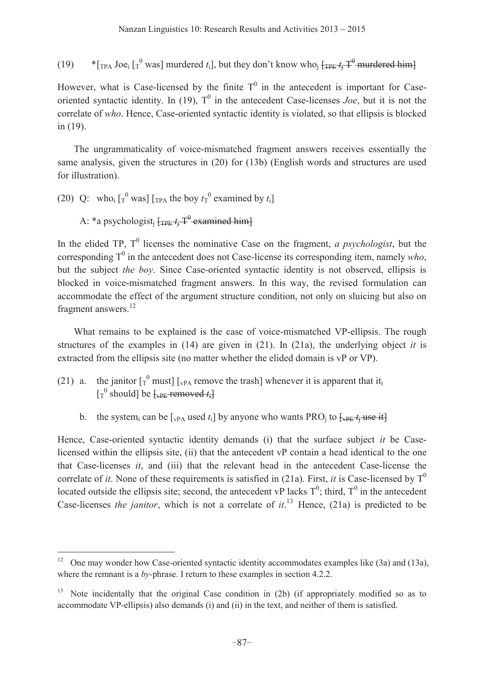(19)  $*_{\text{[TPA Joe_i [T]}}$  was] murdered *t*<sub>i</sub>], but they don't know who<sub>j</sub>  $_{\text{[TPE}} t_j T^0$  murdered him]

However, what is Case-licensed by the finite  $T^0$  in the antecedent is important for Caseoriented syntactic identity. In (19),  $T^0$  in the antecedent Case-licenses *Joe*, but it is not the correlate of *who*. Hence, Case-oriented syntactic identity is violated, so that ellipsis is blocked in (19).

The ungrammaticality of voice-mismatched fragment answers receives essentially the same analysis, given the structures in (20) for (13b) (English words and structures are used for illustration).

(20) Q: who<sub>i</sub>  $\left[\begin{matrix} 0 \\ T \end{matrix}\right]$  was]  $\left[\begin{matrix} T_{PA} \\ T_{PA} \end{matrix}\right]$  the boy  $t_T$ <sup>0</sup> examined by  $t_i$ ]

A: \*a psychologist<sub>i</sub>  $f_{\text{TPE}} t_i$  T<sup>0</sup> examined him]

 $\overline{a}$ 

In the elided TP,  $T^0$  licenses the nominative Case on the fragment, *a psychologist*, but the corresponding  $T^0$  in the antecedent does not Case-license its corresponding item, namely *who*, but the subject *the boy*. Since Case-oriented syntactic identity is not observed, ellipsis is blocked in voice-mismatched fragment answers. In this way, the revised formulation can accommodate the effect of the argument structure condition, not only on sluicing but also on fragment answers.<sup>12</sup>

What remains to be explained is the case of voice-mismatched VP-ellipsis. The rough structures of the examples in  $(14)$  are given in  $(21)$ . In  $(21a)$ , the underlying object *it* is extracted from the ellipsis site (no matter whether the elided domain is vP or VP).

- (21) a. the janitor  $\left[\begin{matrix} 0 \\ T \end{matrix}\right]$  must  $\left[\begin{matrix} 1 \\ VPA \end{matrix}\right]$  remove the trash whenever it is apparent that it<sub>i</sub>  $\begin{bmatrix} 0 \end{bmatrix}$  should] be  $\begin{bmatrix} 1 \end{bmatrix}$  be  $\begin{bmatrix} 1 \end{bmatrix}$ 
	- b. the system<sub>i</sub> can be  $[\text{vPA}$  used  $t_i]$  by anyone who wants PRO<sub>i</sub> to  $[\text{vPE} t_i]$  use it

Hence, Case-oriented syntactic identity demands (i) that the surface subject *it* be Caselicensed within the ellipsis site, (ii) that the antecedent vP contain a head identical to the one that Case-licenses *it*, and (iii) that the relevant head in the antecedent Case-license the correlate of *it*. None of these requirements is satisfied in (21a). First, *it* is Case-licensed by  $T^0$ located outside the ellipsis site; second, the antecedent vP lacks  $T^0$ ; third,  $T^0$  in the antecedent Case-licenses *the janitor*, which is not a correlate of  $it$ <sup>13</sup>. Hence, (21a) is predicted to be

<sup>12</sup> One may wonder how Case-oriented syntactic identity accommodates examples like (3a) and (13a), where the remnant is a *by*-phrase. I return to these examples in section 4.2.2.

<sup>&</sup>lt;sup>13</sup> Note incidentally that the original Case condition in (2b) (if appropriately modified so as to accommodate VP-ellipsis) also demands (i) and (ii) in the text, and neither of them is satisfied.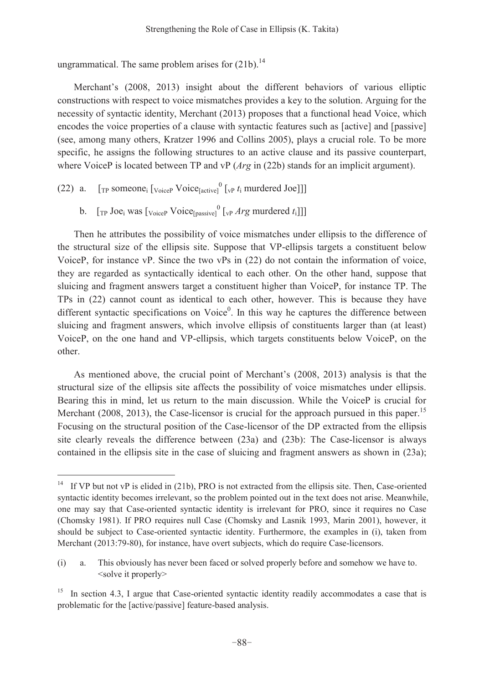ungrammatical. The same problem arises for  $(21b)$ .<sup>14</sup>

Merchant's (2008, 2013) insight about the different behaviors of various elliptic constructions with respect to voice mismatches provides a key to the solution. Arguing for the necessity of syntactic identity, Merchant (2013) proposes that a functional head Voice, which encodes the voice properties of a clause with syntactic features such as [active] and [passive] (see, among many others, Kratzer 1996 and Collins 2005), plays a crucial role. To be more specific, he assigns the following structures to an active clause and its passive counterpart, where VoiceP is located between TP and vP (*Arg* in (22b) stands for an implicit argument).

(22) a.  $[\text{TP} \text{ someone}_i [\text{voire} \text{ Voice}_i]$ <sup>0</sup> $[\text{VP} \text{ t}_i \text{ mutated} \text{Joe}]]]$ 

 $\overline{a}$ 

b.  $[\text{TP Joe}_i \text{ was } [\text{VoiceP} \text{ Voice} [\text{passive}] \text{ (by } Arg \text{ murdered } t_i]]]$ 

Then he attributes the possibility of voice mismatches under ellipsis to the difference of the structural size of the ellipsis site. Suppose that VP-ellipsis targets a constituent below VoiceP, for instance vP. Since the two vPs in (22) do not contain the information of voice, they are regarded as syntactically identical to each other. On the other hand, suppose that sluicing and fragment answers target a constituent higher than VoiceP, for instance TP. The TPs in (22) cannot count as identical to each other, however. This is because they have different syntactic specifications on  $Voice<sup>0</sup>$ . In this way he captures the difference between sluicing and fragment answers, which involve ellipsis of constituents larger than (at least) VoiceP, on the one hand and VP-ellipsis, which targets constituents below VoiceP, on the other.

As mentioned above, the crucial point of Merchant's (2008, 2013) analysis is that the structural size of the ellipsis site affects the possibility of voice mismatches under ellipsis. Bearing this in mind, let us return to the main discussion. While the VoiceP is crucial for Merchant (2008, 2013), the Case-licensor is crucial for the approach pursued in this paper.<sup>15</sup> Focusing on the structural position of the Case-licensor of the DP extracted from the ellipsis site clearly reveals the difference between (23a) and (23b): The Case-licensor is always contained in the ellipsis site in the case of sluicing and fragment answers as shown in (23a);

<sup>&</sup>lt;sup>14</sup> If VP but not vP is elided in (21b), PRO is not extracted from the ellipsis site. Then, Case-oriented syntactic identity becomes irrelevant, so the problem pointed out in the text does not arise. Meanwhile, one may say that Case-oriented syntactic identity is irrelevant for PRO, since it requires no Case (Chomsky 1981). If PRO requires null Case (Chomsky and Lasnik 1993, Marin 2001), however, it should be subject to Case-oriented syntactic identity. Furthermore, the examples in (i), taken from Merchant (2013:79-80), for instance, have overt subjects, which do require Case-licensors.

<sup>(</sup>i) a. This obviously has never been faced or solved properly before and somehow we have to. <solve it properly>

<sup>&</sup>lt;sup>15</sup> In section 4.3, I argue that Case-oriented syntactic identity readily accommodates a case that is problematic for the [active/passive] feature-based analysis.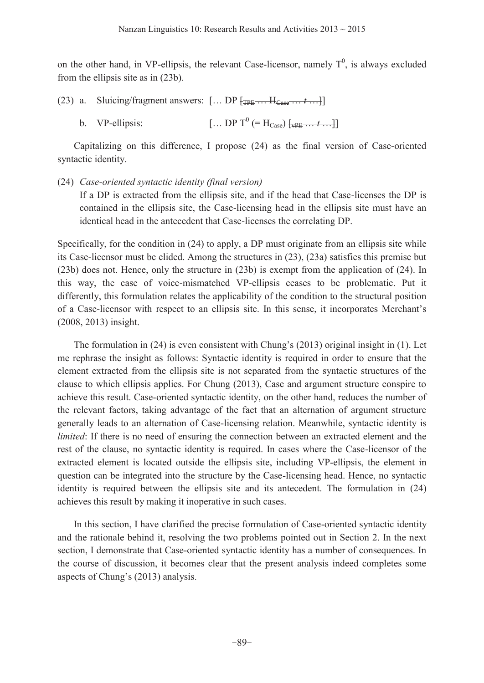on the other hand, in VP-ellipsis, the relevant Case-licensor, namely  $T^0$ , is always excluded from the ellipsis site as in (23b).

- (23) a. Sluicing/fragment answers:  $[\dots DP$   $[\text{TP}_{\text{TPE}} \dots H_{\text{Case}} \dots t \dots]$ 
	- b. VP-ellipsis: [... DP T<sup>0</sup> (= H<sub>Case</sub>)  $\{ {}_{\text{vPF}} \dots t \dots \}$ ]

Capitalizing on this difference, I propose (24) as the final version of Case-oriented syntactic identity.

### (24) *Case-oriented syntactic identity (final version)*

If a DP is extracted from the ellipsis site, and if the head that Case-licenses the DP is contained in the ellipsis site, the Case-licensing head in the ellipsis site must have an identical head in the antecedent that Case-licenses the correlating DP.

Specifically, for the condition in (24) to apply, a DP must originate from an ellipsis site while its Case-licensor must be elided. Among the structures in (23), (23a) satisfies this premise but (23b) does not. Hence, only the structure in (23b) is exempt from the application of (24). In this way, the case of voice-mismatched VP-ellipsis ceases to be problematic. Put it differently, this formulation relates the applicability of the condition to the structural position of a Case-licensor with respect to an ellipsis site. In this sense, it incorporates Merchant's (2008, 2013) insight.

The formulation in  $(24)$  is even consistent with Chung's  $(2013)$  original insight in  $(1)$ . Let me rephrase the insight as follows: Syntactic identity is required in order to ensure that the element extracted from the ellipsis site is not separated from the syntactic structures of the clause to which ellipsis applies. For Chung (2013), Case and argument structure conspire to achieve this result. Case-oriented syntactic identity, on the other hand, reduces the number of the relevant factors, taking advantage of the fact that an alternation of argument structure generally leads to an alternation of Case-licensing relation. Meanwhile, syntactic identity is *limited*: If there is no need of ensuring the connection between an extracted element and the rest of the clause, no syntactic identity is required. In cases where the Case-licensor of the extracted element is located outside the ellipsis site, including VP-ellipsis, the element in question can be integrated into the structure by the Case-licensing head. Hence, no syntactic identity is required between the ellipsis site and its antecedent. The formulation in (24) achieves this result by making it inoperative in such cases.

In this section, I have clarified the precise formulation of Case-oriented syntactic identity and the rationale behind it, resolving the two problems pointed out in Section 2. In the next section, I demonstrate that Case-oriented syntactic identity has a number of consequences. In the course of discussion, it becomes clear that the present analysis indeed completes some aspects of Chung's (2013) analysis.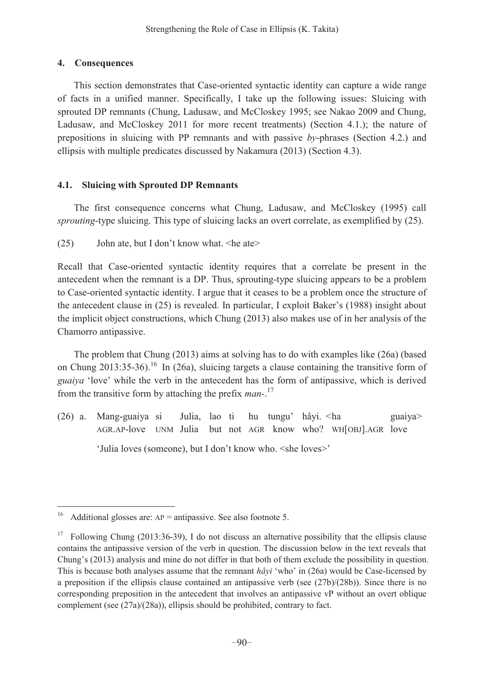# **4. Consequences**

This section demonstrates that Case-oriented syntactic identity can capture a wide range of facts in a unified manner. Specifically, I take up the following issues: Sluicing with sprouted DP remnants (Chung, Ladusaw, and McCloskey 1995; see Nakao 2009 and Chung, Ladusaw, and McCloskey 2011 for more recent treatments) (Section 4.1.); the nature of prepositions in sluicing with PP remnants and with passive *by*-phrases (Section 4.2.) and ellipsis with multiple predicates discussed by Nakamura (2013) (Section 4.3).

# **4.1. Sluicing with Sprouted DP Remnants**

The first consequence concerns what Chung, Ladusaw, and McCloskey (1995) call *sprouting*-type sluicing. This type of sluicing lacks an overt correlate, as exemplified by (25).

(25) - John ate, but I don't know what.  $\leq$ he ate $\geq$ 

Recall that Case-oriented syntactic identity requires that a correlate be present in the antecedent when the remnant is a DP. Thus, sprouting-type sluicing appears to be a problem to Case-oriented syntactic identity. I argue that it ceases to be a problem once the structure of the antecedent clause in  $(25)$  is revealed. In particular, I exploit Baker's  $(1988)$  insight about the implicit object constructions, which Chung (2013) also makes use of in her analysis of the Chamorro antipassive.

The problem that Chung (2013) aims at solving has to do with examples like (26a) (based on Chung  $2013:35-36$ .<sup>16</sup> In (26a), sluicing targets a clause containing the transitive form of *guaiya* 'love' while the verb in the antecedent has the form of antipassive, which is derived from the transitive form by attaching the prefix *man-*. 17

 $(26)$  a. Mang-guaiya si Julia, lao ti hu tungu' håyi. < ha guaiya AGR.AP-love UNM Julia but not AGR know who? WH[OBJ].AGR love 'Julia loves (someone), but I don't know who. <she loves>'

<sup>16</sup> Additional glosses are:  $AP =$  antipassive. See also footnote 5.

<sup>&</sup>lt;sup>17</sup> Following Chung (2013:36-39), I do not discuss an alternative possibility that the ellipsis clause contains the antipassive version of the verb in question. The discussion below in the text reveals that Chung's (2013) analysis and mine do not differ in that both of them exclude the possibility in question. This is because both analyses assume that the remnant  $h\hat{a}yi'$  who' in (26a) would be Case-licensed by a preposition if the ellipsis clause contained an antipassive verb (see (27b)/(28b)). Since there is no corresponding preposition in the antecedent that involves an antipassive vP without an overt oblique complement (see (27a)/(28a)), ellipsis should be prohibited, contrary to fact.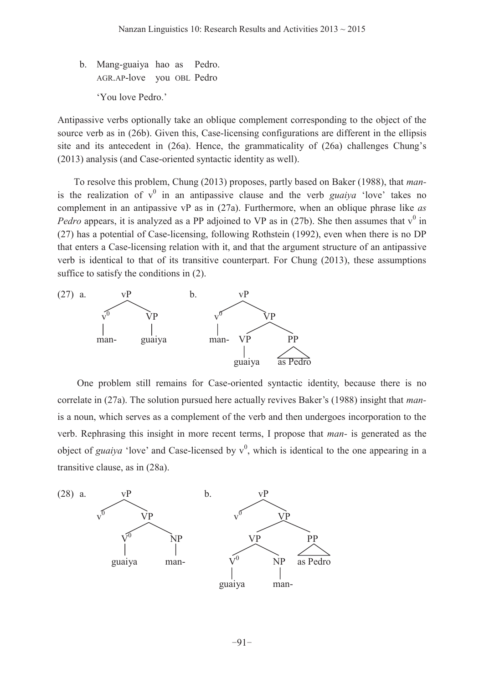b. Mang-guaiya hao as Pedro. AGR.AP-love you OBL Pedro 'You love Pedro.'

Antipassive verbs optionally take an oblique complement corresponding to the object of the source verb as in (26b). Given this, Case-licensing configurations are different in the ellipsis site and its antecedent in  $(26a)$ . Hence, the grammaticality of  $(26a)$  challenges Chung's (2013) analysis (and Case-oriented syntactic identity as well).

To resolve this problem, Chung (2013) proposes, partly based on Baker (1988), that *man*is the realization of  $v^0$  in an antipassive clause and the verb *guaiya* 'love' takes no complement in an antipassive vP as in (27a). Furthermore, when an oblique phrase like *as Pedro* appears, it is analyzed as a PP adjoined to VP as in (27b). She then assumes that  $v^0$  in (27) has a potential of Case-licensing, following Rothstein (1992), even when there is no DP that enters a Case-licensing relation with it, and that the argument structure of an antipassive verb is identical to that of its transitive counterpart. For Chung (2013), these assumptions suffice to satisfy the conditions in (2).



One problem still remains for Case-oriented syntactic identity, because there is no correlate in (27a). The solution pursued here actually revives Baker's (1988) insight that *man*is a noun, which serves as a complement of the verb and then undergoes incorporation to the verb. Rephrasing this insight in more recent terms, I propose that *man-* is generated as the object of *guaiya* 'love' and Case-licensed by  $v^0$ , which is identical to the one appearing in a transitive clause, as in (28a).

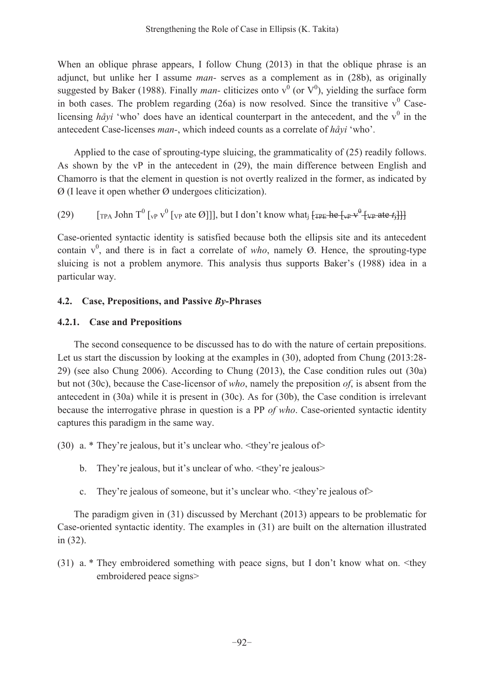When an oblique phrase appears, I follow Chung (2013) in that the oblique phrase is an adjunct, but unlike her I assume *man-* serves as a complement as in (28b), as originally suggested by Baker (1988). Finally *man*-cliticizes onto  $v^0$  (or  $V^0$ ), yielding the surface form in both cases. The problem regarding  $(26a)$  is now resolved. Since the transitive  $v^0$  Caselicensing  $h\partial x^i$  'who' does have an identical counterpart in the antecedent, and the  $v^0$  in the antecedent Case-licenses *man*-, which indeed counts as a correlate of *håyi* 'who'.

Applied to the case of sprouting-type sluicing, the grammaticality of (25) readily follows. As shown by the vP in the antecedent in (29), the main difference between English and Chamorro is that the element in question is not overtly realized in the former, as indicated by  $\varnothing$  (I leave it open whether  $\varnothing$  undergoes cliticization).

(29) [TPA John T<sup>0</sup> [vP v 0 [VP DWH@@@EXW,GRQ¶WNQRZZKDWj [TPE he [vP v <sup>0</sup> [VP ate *t*j]]]

Case-oriented syntactic identity is satisfied because both the ellipsis site and its antecedent contain  $v^0$ , and there is in fact a correlate of *who*, namely  $\emptyset$ . Hence, the sprouting-type sluicing is not a problem anymore. This analysis thus supports Baker's (1988) idea in a particular way.

# **4.2. Case, Prepositions, and Passive** *By***-Phrases**

# **4.2.1. Case and Prepositions**

The second consequence to be discussed has to do with the nature of certain prepositions. Let us start the discussion by looking at the examples in (30), adopted from Chung (2013:28- 29) (see also Chung 2006). According to Chung (2013), the Case condition rules out (30a) but not (30c), because the Case-licensor of *who*, namely the preposition *of*, is absent from the antecedent in (30a) while it is present in (30c). As for (30b), the Case condition is irrelevant because the interrogative phrase in question is a PP *of who*. Case-oriented syntactic identity captures this paradigm in the same way.

(30) a. \* They're jealous, but it's unclear who.  $\lt$ they're jealous of>

- b. They're jealous, but it's unclear of who.  $\lt$ they're jealous>
- c. They're jealous of someone, but it's unclear who.  $\lt$ they're jealous of>

The paradigm given in (31) discussed by Merchant (2013) appears to be problematic for Case-oriented syntactic identity. The examples in (31) are built on the alternation illustrated in (32).

(31) a. \* They embroidered something with peace signs, but I don't know what on.  $\leq$  they embroidered peace signs>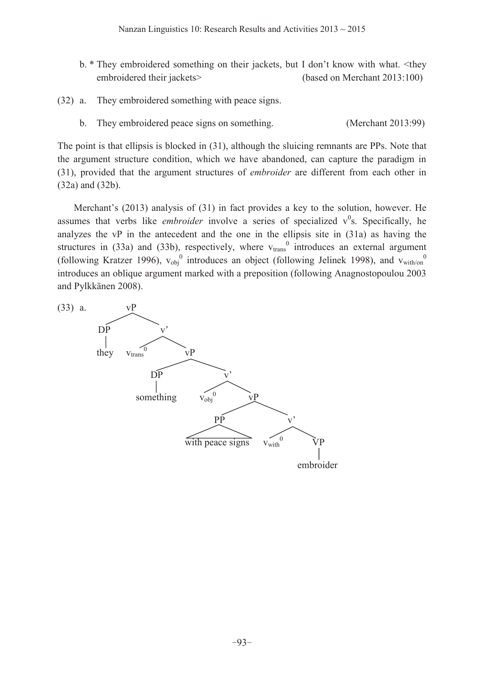- b.  $*$  They embroidered something on their jackets, but I don't know with what.  $\lt$ they embroidered their jackets> (based on Merchant 2013:100)
- (32) a. They embroidered something with peace signs.
	- b. They embroidered peace signs on something. (Merchant 2013:99)

The point is that ellipsis is blocked in (31), although the sluicing remnants are PPs. Note that the argument structure condition, which we have abandoned, can capture the paradigm in (31), provided that the argument structures of *embroider* are different from each other in (32a) and (32b).

Merchant's (2013) analysis of (31) in fact provides a key to the solution, however. He assumes that verbs like *embroider* involve a series of specialized  $v^0$ s. Specifically, he analyzes the vP in the antecedent and the one in the ellipsis site in (31a) as having the structures in (33a) and (33b), respectively, where  $v_{trans}^0$  introduces an external argument (following Kratzer 1996),  $v_{\text{obj}}^0$  introduces an object (following Jelinek 1998), and  $v_{\text{with}}^0$ introduces an oblique argument marked with a preposition (following Anagnostopoulou 2003 and Pylkkänen 2008).

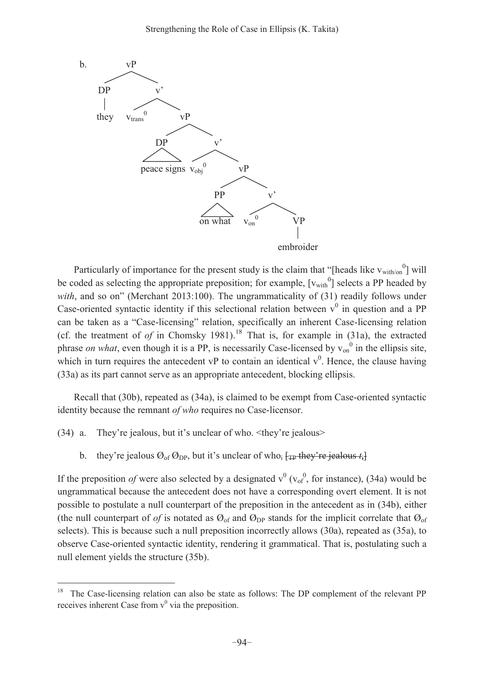

Particularly of importance for the present study is the claim that "[heads like  $v_{\text{with/or}}^0$ ] will be coded as selecting the appropriate preposition; for example,  $[v_{with}^0]$  selects a PP headed by *with*, and so on" (Merchant 2013:100). The ungrammaticality of  $(31)$  readily follows under Case-oriented syntactic identity if this selectional relation between  $v^0$  in question and a PP can be taken as a "Case-licensing" relation, specifically an inherent Case-licensing relation (cf. the treatment of *of* in Chomsky 1981).<sup>18</sup> That is, for example in  $(31a)$ , the extracted phrase *on what*, even though it is a PP, is necessarily Case-licensed by  $v_{on}^0$  in the ellipsis site, which in turn requires the antecedent vP to contain an identical  $v^0$ . Hence, the clause having (33a) as its part cannot serve as an appropriate antecedent, blocking ellipsis.

Recall that (30b), repeated as (34a), is claimed to be exempt from Case-oriented syntactic identity because the remnant *of who* requires no Case-licensor.

(34) a. They're jealous, but it's unclear of who.  $\lt$ they're jealous>

 $\overline{a}$ 

b. they're jealous  $\mathcal{O}_{\text{of}}\,\mathcal{O}_{\text{DP}}$ , but it's unclear of who<sub>i</sub>  $\varphi_{\text{TP}}$  they're jealous  $t_i$ 

If the preposition *of* were also selected by a designated  $v^0$  ( $v_{of}^0$ , for instance), (34a) would be ungrammatical because the antecedent does not have a corresponding overt element. It is not possible to postulate a null counterpart of the preposition in the antecedent as in (34b), either (the null counterpart of *of* is notated as  $\mathcal{O}_{of}$  and  $\mathcal{O}_{DP}$  stands for the implicit correlate that  $\mathcal{O}_{of}$ selects). This is because such a null preposition incorrectly allows (30a), repeated as (35a), to observe Case-oriented syntactic identity, rendering it grammatical. That is, postulating such a null element yields the structure (35b).

<sup>&</sup>lt;sup>18</sup> The Case-licensing relation can also be state as follows: The DP complement of the relevant PP receives inherent Case from  $v^0$  via the preposition.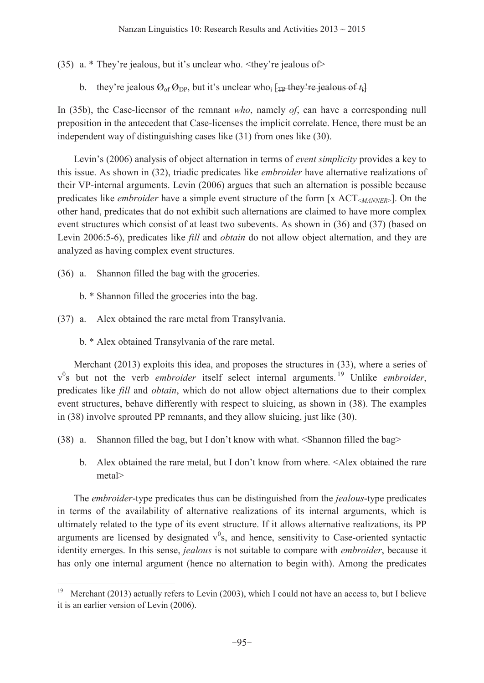(35) a. \* They're jealous, but it's unclear who.  $\lt$ they're jealous of>

b. they're jealous  $\mathcal{O}_{\text{of}}\,\mathcal{O}_{\text{DP}}$ , but it's unclear who<sub>i</sub>  $\frac{1}{\# \text{P}}$  they're jealous of  $t_i$ 

In (35b), the Case-licensor of the remnant *who*, namely *of*, can have a corresponding null preposition in the antecedent that Case-licenses the implicit correlate. Hence, there must be an independent way of distinguishing cases like (31) from ones like (30).

Levin's (2006) analysis of object alternation in terms of *event simplicity* provides a key to this issue. As shown in (32), triadic predicates like *embroider* have alternative realizations of their VP-internal arguments. Levin (2006) argues that such an alternation is possible because predicates like *embroider* have a simple event structure of the form [x ACT<*MANNER*>]. On the other hand, predicates that do not exhibit such alternations are claimed to have more complex event structures which consist of at least two subevents. As shown in (36) and (37) (based on Levin 2006:5-6), predicates like *fill* and *obtain* do not allow object alternation, and they are analyzed as having complex event structures.

(36) a. Shannon filled the bag with the groceries.

 $\overline{a}$ 

- b. \* Shannon filled the groceries into the bag.
- (37) a. Alex obtained the rare metal from Transylvania.
	- b. \* Alex obtained Transylvania of the rare metal.

Merchant (2013) exploits this idea, and proposes the structures in (33), where a series of v 0 s but not the verb *embroider* itself select internal arguments. 19 Unlike *embroider*, predicates like *fill* and *obtain*, which do not allow object alternations due to their complex event structures, behave differently with respect to sluicing, as shown in (38). The examples in (38) involve sprouted PP remnants, and they allow sluicing, just like (30).

- $(38)$  a. Shannon filled the bag, but I don't know with what.  $\leq$ Shannon filled the bag>
	- b. Alex obtained the rare metal, but I don't know from where. <Alex obtained the rare metal>

The *embroider*-type predicates thus can be distinguished from the *jealous*-type predicates in terms of the availability of alternative realizations of its internal arguments, which is ultimately related to the type of its event structure. If it allows alternative realizations, its PP arguments are licensed by designated  $v^0$ s, and hence, sensitivity to Case-oriented syntactic identity emerges. In this sense, *jealous* is not suitable to compare with *embroider*, because it has only one internal argument (hence no alternation to begin with). Among the predicates

<sup>&</sup>lt;sup>19</sup> Merchant (2013) actually refers to Levin (2003), which I could not have an access to, but I believe it is an earlier version of Levin (2006).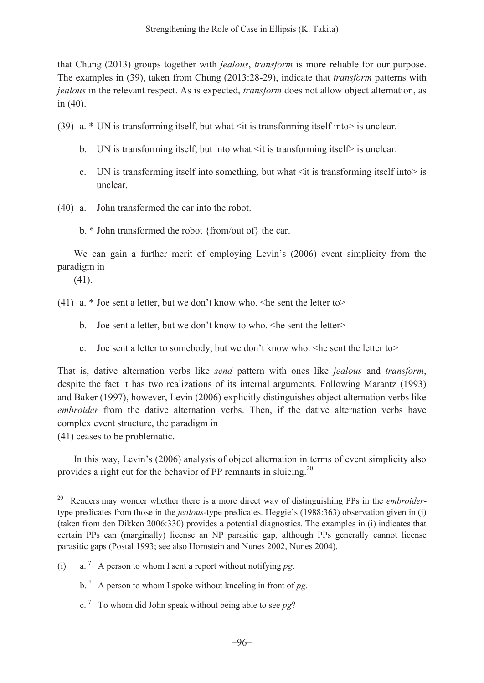that Chung (2013) groups together with *jealous*, *transform* is more reliable for our purpose. The examples in (39), taken from Chung (2013:28-29), indicate that *transform* patterns with *jealous* in the relevant respect. As is expected, *transform* does not allow object alternation, as in (40).

- (39) a. \* UN is transforming itself, but what <it is transforming itself into> is unclear.
	- b. UN is transforming itself, but into what  $\leq$  it is transforming itself $\geq$  is unclear.
	- c. UN is transforming itself into something, but what  $\leq$  it is transforming itself into is unclear.
- (40) a. John transformed the car into the robot.
	- b. \* John transformed the robot {from/out of} the car.

We can gain a further merit of employing Levin's (2006) event simplicity from the paradigm in

(41).

 $\overline{a}$ 

(41) a. \* Joe sent a letter, but we don't know who.  $\leq$ he sent the letter to $\geq$ 

- b. Joe sent a letter, but we don't know to who.  $\leq$ he sent the letter $\geq$
- c. Joe sent a letter to somebody, but we don't know who.  $\leq$ he sent the letter to $\geq$

That is, dative alternation verbs like *send* pattern with ones like *jealous* and *transform*, despite the fact it has two realizations of its internal arguments. Following Marantz (1993) and Baker (1997), however, Levin (2006) explicitly distinguishes object alternation verbs like *embroider* from the dative alternation verbs. Then, if the dative alternation verbs have complex event structure, the paradigm in

(41) ceases to be problematic.

In this way, Levin's (2006) analysis of object alternation in terms of event simplicity also provides a right cut for the behavior of PP remnants in sluicing.<sup>20</sup>

c. ? To whom did John speak without being able to see *pg*?

<sup>20</sup> Readers may wonder whether there is a more direct way of distinguishing PPs in the *embroider*type predicates from those in the *jealous*-type predicates. Heggie's (1988:363) observation given in (i) (taken from den Dikken 2006:330) provides a potential diagnostics. The examples in (i) indicates that certain PPs can (marginally) license an NP parasitic gap, although PPs generally cannot license parasitic gaps (Postal 1993; see also Hornstein and Nunes 2002, Nunes 2004).

<sup>(</sup>i) a.<sup>?</sup> A person to whom I sent a report without notifying  $pg$ .

b. ? A person to whom I spoke without kneeling in front of *pg*.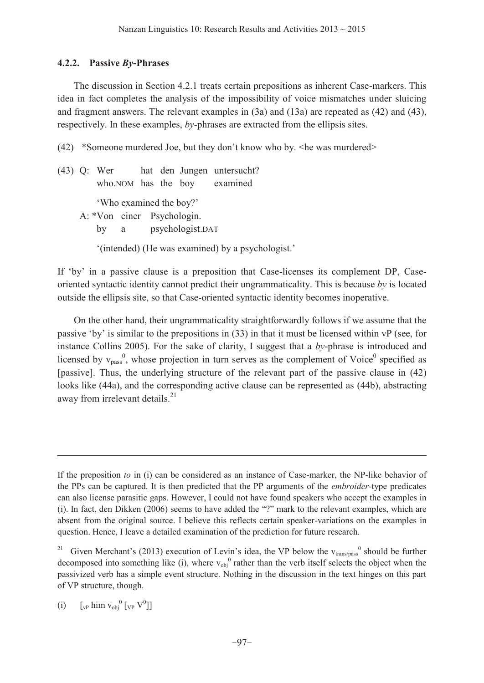### **4.2.2. Passive** *By***-Phrases**

The discussion in Section 4.2.1 treats certain prepositions as inherent Case-markers. This idea in fact completes the analysis of the impossibility of voice mismatches under sluicing and fragment answers. The relevant examples in (3a) and (13a) are repeated as (42) and (43), respectively. In these examples, *by*-phrases are extracted from the ellipsis sites.

(42) \*Someone murdered Joe, but they don't know who by.  $\leq$ he was murdered $\geq$ 

(43) Q: Wer hat den Jungen untersucht? who.NOM has the boy examined 'Who examined the boy?' A: \*Von einer Psychologin. by a psychologist.DAT  $\lq$ (intended) (He was examined) by a psychologist.

If 'by' in a passive clause is a preposition that Case-licenses its complement DP, Caseoriented syntactic identity cannot predict their ungrammaticality. This is because *by* is located outside the ellipsis site, so that Case-oriented syntactic identity becomes inoperative.

On the other hand, their ungrammaticality straightforwardly follows if we assume that the passive 'by' is similar to the prepositions in  $(33)$  in that it must be licensed within vP (see, for instance Collins 2005). For the sake of clarity, I suggest that a *by*-phrase is introduced and licensed by  $v_{pass}^{0}$ , whose projection in turn serves as the complement of Voice<sup>0</sup> specified as [passive]. Thus, the underlying structure of the relevant part of the passive clause in (42) looks like (44a), and the corresponding active clause can be represented as (44b), abstracting away from irrelevant details.<sup>21</sup>

If the preposition *to* in (i) can be considered as an instance of Case-marker, the NP-like behavior of the PPs can be captured. It is then predicted that the PP arguments of the *embroider*-type predicates can also license parasitic gaps. However, I could not have found speakers who accept the examples in (i). In fact, den Dikken  $(2006)$  seems to have added the "?" mark to the relevant examples, which are absent from the original source. I believe this reflects certain speaker-variations on the examples in question. Hence, I leave a detailed examination of the prediction for future research.

<sup>&</sup>lt;sup>21</sup> Given Merchant's (2013) execution of Levin's idea, the VP below the  $v_{trans/pass}^0$  should be further decomposed into something like (i), where  $v_{obj}^0$  rather than the verb itself selects the object when the passivized verb has a simple event structure. Nothing in the discussion in the text hinges on this part of VP structure, though.

<sup>(</sup>i)  $\left[\begin{smallmatrix} 0 \\ vP \end{smallmatrix}\right]$  him  $\left[\begin{smallmatrix} 0 \\ vP \end{smallmatrix}\right]$   $\left[\begin{smallmatrix} 0 \\ VP \end{smallmatrix}\right]$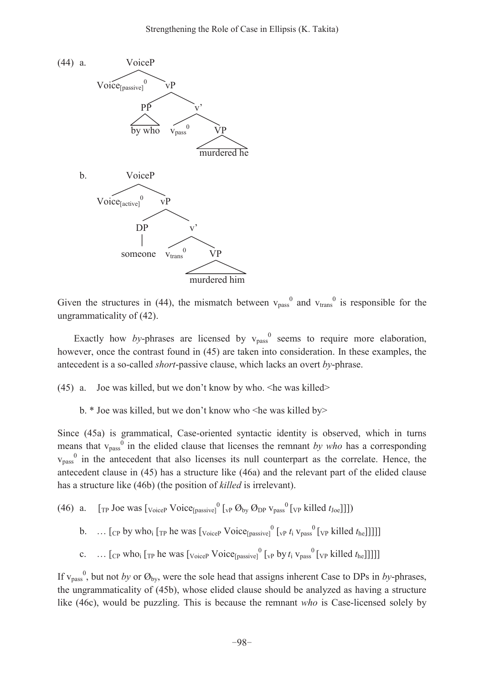

Given the structures in (44), the mismatch between  $v_{\text{pass}}^0$  and  $v_{\text{trans}}^0$  is responsible for the ungrammaticality of (42).

Exactly how *by*-phrases are licensed by  $v_{pass}^0$  seems to require more elaboration, however, once the contrast found in (45) are taken into consideration. In these examples, the antecedent is a so-called *short*-passive clause, which lacks an overt *by*-phrase.

(45) a. Joe was killed, but we don't know by who.  $\leq$ he was killed>

b. \* Joe was killed, but we don't know who <he was killed by>

Since (45a) is grammatical, Case-oriented syntactic identity is observed, which in turns means that  $v_{pass}^0$  in the elided clause that licenses the remnant *by who* has a corresponding  $v_{\text{pass}}^0$  in the antecedent that also licenses its null counterpart as the correlate. Hence, the antecedent clause in (45) has a structure like (46a) and the relevant part of the elided clause has a structure like (46b) (the position of *killed* is irrelevant).

- (46) a.  $[\text{TP} \text{ Joe was } [\text{v<sub>oiceP</sub>} \text{ Voice}_{[\text{passive}]}^0 [\text{vP } \mathcal{O}_{\text{by}} \mathcal{O}_{\text{DP}} \text{v}_{\text{pass}}^0 [\text{vP killed } t_{\text{Joe}}]]])$
- b.  $\ldots$  [cp by who<sub>i</sub> [<sub>TP</sub> he was [<sub>VoiceP</sub> Voice<sub>[passive]</sub><sup>0</sup> [<sub>VP</sub>  $t_i$  v<sub>pass</sub><sup>0</sup> [<sub>VP</sub> killed  $t_{he}$ ]]]]]
- c. ...  $[$ <sub>CP</sub> who<sub>i</sub>  $[$ <sub>TP</sub> he was  $[$ <sub>VoiceP</sub>  $V$ oice<sub>[passive]</sub><sup>0</sup>  $[$ <sub>VP</sub> by  $t_i$ <sub>V<sub>pass</sub><sup>0</sup>  $[$ <sub>VP</sub> killed  $t_{he}$ ]]]]]</sub>

If  $v_{pass}^{0}$ , but not *by* or  $\mathcal{O}_{by}$ , were the sole head that assigns inherent Case to DPs in *by*-phrases, the ungrammaticality of (45b), whose elided clause should be analyzed as having a structure like (46c), would be puzzling. This is because the remnant *who* is Case-licensed solely by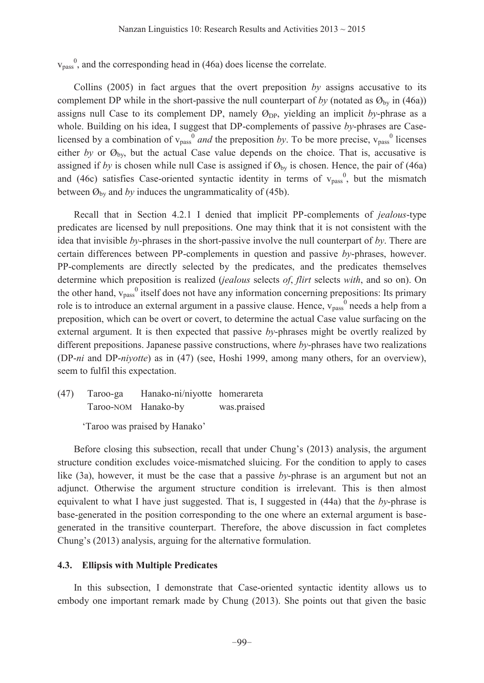$v_{pass}^{0}$ , and the corresponding head in (46a) does license the correlate.

Collins (2005) in fact argues that the overt preposition *by* assigns accusative to its complement DP while in the short-passive the null counterpart of *by* (notated as  $\mathcal{O}_{\text{bv}}$  in (46a)) assigns null Case to its complement DP, namely  $\mathcal{O}_{\text{DP}}$ , yielding an implicit *by*-phrase as a whole. Building on his idea, I suggest that DP-complements of passive *by*-phrases are Caselicensed by a combination of  $v_{pass}^0$  *and* the preposition *by*. To be more precise,  $v_{pass}^0$  licenses either *by* or  $\mathcal{O}_{\text{by}}$ , but the actual Case value depends on the choice. That is, accusative is assigned if *by* is chosen while null Case is assigned if  $\mathcal{O}_{by}$  is chosen. Hence, the pair of (46a) and (46c) satisfies Case-oriented syntactic identity in terms of  $v_{pass}^{0}$ , but the mismatch between  $\mathcal{O}_{\text{by}}$  and *by* induces the ungrammaticality of (45b).

Recall that in Section 4.2.1 I denied that implicit PP-complements of *jealous*-type predicates are licensed by null prepositions. One may think that it is not consistent with the idea that invisible *by*-phrases in the short-passive involve the null counterpart of *by*. There are certain differences between PP-complements in question and passive *by*-phrases, however. PP-complements are directly selected by the predicates, and the predicates themselves determine which preposition is realized (*jealous* selects *of*, *flirt* selects *with*, and so on). On the other hand,  $v_{pass}^0$  itself does not have any information concerning prepositions: Its primary role is to introduce an external argument in a passive clause. Hence, v<sub>pass</sub><sup>0</sup> needs a help from a preposition, which can be overt or covert, to determine the actual Case value surfacing on the external argument. It is then expected that passive *by*-phrases might be overtly realized by different prepositions. Japanese passive constructions, where *by*-phrases have two realizations (DP-*ni* and DP-*niyotte*) as in (47) (see, Hoshi 1999, among many others, for an overview), seem to fulfil this expectation.

(47) Taroo-ga Hanako-ni/niyotte homerareta Taroo-NOM Hanako-by was.praised

'Taroo was praised by Hanako'

Before closing this subsection, recall that under Chung's (2013) analysis, the argument structure condition excludes voice-mismatched sluicing. For the condition to apply to cases like (3a), however, it must be the case that a passive *by*-phrase is an argument but not an adjunct. Otherwise the argument structure condition is irrelevant. This is then almost equivalent to what I have just suggested. That is, I suggested in (44a) that the *by*-phrase is base-generated in the position corresponding to the one where an external argument is basegenerated in the transitive counterpart. Therefore, the above discussion in fact completes Chung's (2013) analysis, arguing for the alternative formulation.

#### **4.3. Ellipsis with Multiple Predicates**

In this subsection, I demonstrate that Case-oriented syntactic identity allows us to embody one important remark made by Chung (2013). She points out that given the basic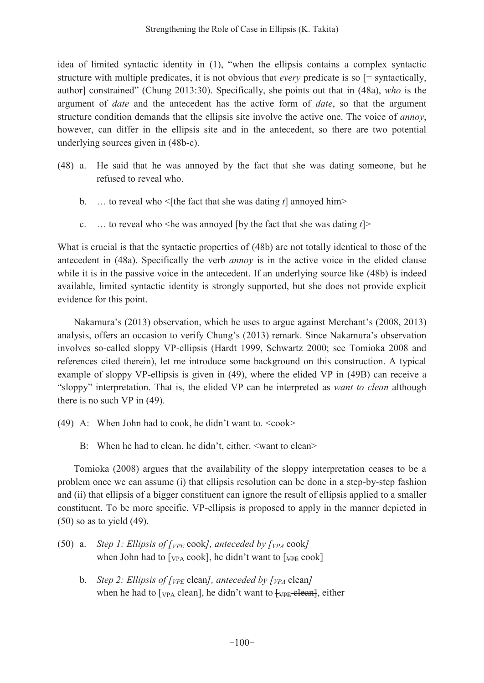idea of limited syntactic identity in  $(1)$ , "when the ellipsis contains a complex syntactic structure with multiple predicates, it is not obvious that *every* predicate is so [= syntactically, author] constrained" (Chung 2013:30). Specifically, she points out that in (48a), *who* is the argument of *date* and the antecedent has the active form of *date*, so that the argument structure condition demands that the ellipsis site involve the active one. The voice of *annoy*, however, can differ in the ellipsis site and in the antecedent, so there are two potential underlying sources given in (48b-c).

- (48) a. He said that he was annoyed by the fact that she was dating someone, but he refused to reveal who.
	- b. ... to reveal who  $\leq$ [the fact that she was dating *t*] annoyed him>
	- c. ... to reveal who  $\leq$ he was annoyed [by the fact that she was dating  $t$ ] $\geq$

What is crucial is that the syntactic properties of (48b) are not totally identical to those of the antecedent in (48a). Specifically the verb *annoy* is in the active voice in the elided clause while it is in the passive voice in the antecedent. If an underlying source like (48b) is indeed available, limited syntactic identity is strongly supported, but she does not provide explicit evidence for this point.

Nakamura's (2013) observation, which he uses to argue against Merchant's (2008, 2013) analysis, offers an occasion to verify Chung's  $(2013)$  remark. Since Nakamura's observation involves so-called sloppy VP-ellipsis (Hardt 1999, Schwartz 2000; see Tomioka 2008 and references cited therein), let me introduce some background on this construction. A typical example of sloppy VP-ellipsis is given in (49), where the elided VP in (49B) can receive a ³sloppy´ interpretation. That is, the elided VP can be interpreted as *want to clean* although there is no such VP in (49).

- (49) A: When John had to cook, he didn't want to.  $\langle \cosh \rangle$ 
	- B: When he had to clean, he didn't, either. <want to clean>

Tomioka (2008) argues that the availability of the sloppy interpretation ceases to be a problem once we can assume (i) that ellipsis resolution can be done in a step-by-step fashion and (ii) that ellipsis of a bigger constituent can ignore the result of ellipsis applied to a smaller constituent. To be more specific, VP-ellipsis is proposed to apply in the manner depicted in (50) so as to yield (49).

- (50) a. *Step 1: Ellipsis of*  $\int_{VPE}$  *cook], anteceded by*  $\int_{VPA}$  *cook]* when John had to  $[\text{vpa cool}]$ , he didn't want to  $[\text{vpe-cool}]$ 
	- b. *Step 2: Ellipsis of [VPE* clean*], anteceded by [VPA* clean*]* when he had to  $[\text{v}_{PA}$  clean], he didn't want to  $[\text{v}_{PE}$ -clean], either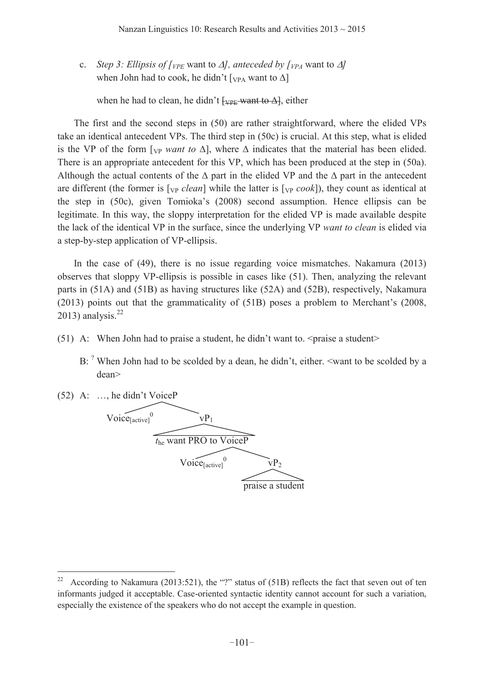c. *Step 3: Ellipsis of*  $\int_{VPE}$  want to  $\Delta$ *], anteceded by*  $\int_{VPA}$  want to  $\Delta$ *]* when John had to cook, he didn't  $[\text{v}_{PA}$  want to  $\Delta]$ 

when he had to clean, he didn't  $\frac{V}{VPE}$  want to  $\Delta$ , either

The first and the second steps in (50) are rather straightforward, where the elided VPs take an identical antecedent VPs. The third step in (50c) is crucial. At this step, what is elided is the VP of the form  $[\vee_{P}$  *want to*  $\Delta]$ , where  $\Delta$  indicates that the material has been elided. There is an appropriate antecedent for this VP, which has been produced at the step in (50a). Although the actual contents of the  $\Delta$  part in the elided VP and the  $\Delta$  part in the antecedent are different (the former is  $[\vee_{\rm P} \textit{clean}]$  while the latter is  $[\vee_{\rm P} \textit{cook}]$ ), they count as identical at the step in  $(50c)$ , given Tomioka's  $(2008)$  second assumption. Hence ellipsis can be legitimate. In this way, the sloppy interpretation for the elided VP is made available despite the lack of the identical VP in the surface, since the underlying VP *want to clean* is elided via a step-by-step application of VP-ellipsis.

In the case of (49), there is no issue regarding voice mismatches. Nakamura (2013) observes that sloppy VP-ellipsis is possible in cases like (51). Then, analyzing the relevant parts in (51A) and (51B) as having structures like (52A) and (52B), respectively, Nakamura  $(2013)$  points out that the grammaticality of  $(51B)$  poses a problem to Merchant's  $(2008)$ , 2013) analysis. $22$ 

(51) A: When John had to praise a student, he didn't want to.  $\epsilon$  praise a student>

B:  $^2$  When John had to be scolded by a dean, he didn't, either. <want to be scolded by a dean>



According to Nakamura (2013:521), the "?" status of (51B) reflects the fact that seven out of ten informants judged it acceptable. Case-oriented syntactic identity cannot account for such a variation, especially the existence of the speakers who do not accept the example in question.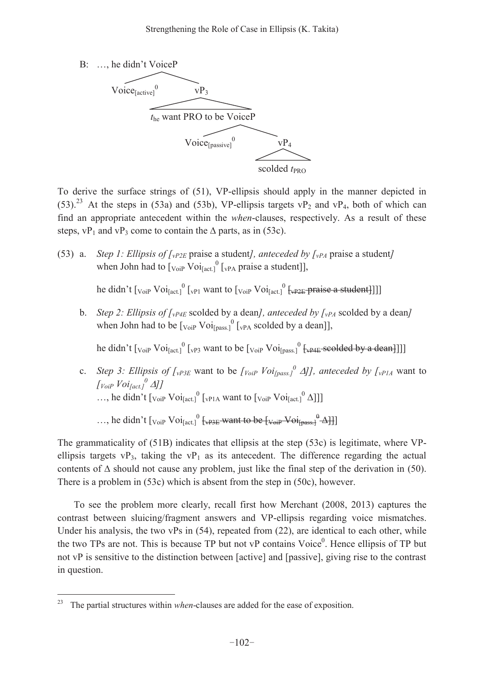

To derive the surface strings of (51), VP-ellipsis should apply in the manner depicted in (53).<sup>23</sup> At the steps in (53a) and (53b), VP-ellipsis targets vP<sub>2</sub> and vP<sub>4</sub>, both of which can find an appropriate antecedent within the *when*-clauses, respectively. As a result of these steps,  $vP_1$  and  $vP_3$  come to contain the  $\Delta$  parts, as in (53c).

(53) a. *Step 1: Ellipsis of*  $\int_{\mathcal{V}^{P2E}}$  praise a student*]*, anteceded by  $\int_{\mathcal{V}^{P4}}$  praise a student*]* when John had to  $\left[v_{\text{o}i} \right]$   $\left[v_{\text{P}A}\right]$  praise a student]],

he didn't  $\left[v_{\text{o}i} \text{Vol}_{\text{[act]}}^0 \left[v_{\text{Pl}} \text{ want to } \left[v_{\text{o}i} \text{Vol}_{\text{[act]}}^0 \left[v_{\text{P2E}} \text{+} \text{praise a student} \right] \right] \right]$ 

b. *Step 2: Ellipsis of*  $\int_{\mathcal{V}P4E}$  scolded by a dean*]*, anteceded by  $\int_{\mathcal{V}P4}$  scolded by a dean*]* when John had to be  $\left[\frac{\text{Voir}}{\text{Voir}}\right]\left[\frac{1}{\text{VPA}}\right]$  scolded by a dean]],

he didn't  $[v_{\text{oip}} Voi_{\text{[act]}}^0[v_{\text{P3}}]$  want to be  $[v_{\text{oip}} Voi_{\text{[pass]}}^0[v_{\text{P4E}}]$  scolded by a dean

c. *Step 3: Ellipsis of*  $\int_{VP3E}$  want to be  $\int_{VoiP}$   $\int_{VoiP}$  *[oi<sub>pass.</sub>*<sup>0</sup>  $\Delta$ *]], anteceded by*  $\int_{VP1A}$  want to *[VoiP*  $\text{Voi}_{\text{fact.}}$ *]*  $\text{d}$ *]* ..., he didn't  $\left[v_{\text{o}iP} \text{ Voi}_{\text{[act.]}}^0 \left[v_{\text{PIA}} \text{ want to } \left[v_{\text{o}iP} \text{ Voi}_{\text{[act.]}}^0 \Delta\right]\right]\right]$ 

..., he didn't  $[\text{VoiP Voi}]_{\text{fact.}}^0$   $[\text{Vap3E}$ -want to be  $[\text{VoiP Voi}]_{\text{pass.}}^0$  $\rightarrow$   $\text{Al}$ ]]

The grammaticality of (51B) indicates that ellipsis at the step (53c) is legitimate, where VPellipsis targets  $VP_3$ , taking the  $VP_1$  as its antecedent. The difference regarding the actual contents of  $\Delta$  should not cause any problem, just like the final step of the derivation in (50). There is a problem in (53c) which is absent from the step in (50c), however.

To see the problem more clearly, recall first how Merchant (2008, 2013) captures the contrast between sluicing/fragment answers and VP-ellipsis regarding voice mismatches. Under his analysis, the two vPs in (54), repeated from (22), are identical to each other, while the two TPs are not. This is because TP but not  $vP$  contains  $V^{\text{O}}$  equals the ellipsis of TP but not vP is sensitive to the distinction between [active] and [passive], giving rise to the contrast in question.

<sup>23</sup> The partial structures within *when*-clauses are added for the ease of exposition.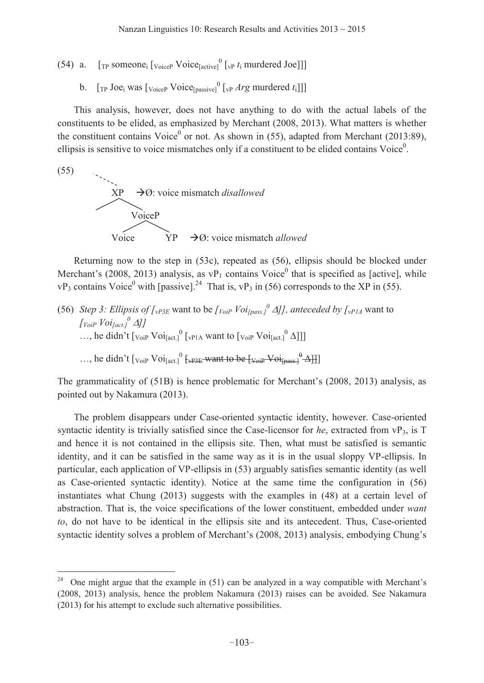(54) a.  $[\text{TP} \text{ someone}_i] [\text{vole}_i]$   $[\text{vole}_i]$   $[\text{vpe}_i] [\text{vpe}_i]$  murdered Joe]]]

b.  $[\text{TP Joe}_i \text{ was } [\text{vioice}]\text{ Voice} [\text{passive}] \cdot [\text{vP} \text{ Arg } \text{murdered } t_i]]]$ 

This analysis, however, does not have anything to do with the actual labels of the constituents to be elided, as emphasized by Merchant (2008, 2013). What matters is whether the constituent contains Voice<sup>0</sup> or not. As shown in (55), adapted from Merchant (2013:89), ellipsis is sensitive to voice mismatches only if a constituent to be elided contains Voice $<sup>0</sup>$ .</sup>

(55)

 $\overline{a}$ 



Returning now to the step in (53c), repeated as (56), ellipsis should be blocked under Merchant's (2008, 2013) analysis, as  $vP_1$  contains Voice<sup>0</sup> that is specified as [active], while  $vP_3$  contains Voice<sup>0</sup> with [passive].<sup>24</sup> That is,  $vP_3$  in (56) corresponds to the XP in (55).

(56) *Step 3: Ellipsis of [<sub>vP3E</sub>* want to be  $\int$ *Voi<sub>[pass.</sub>]*  $\Delta$ *]], anteceded by [<sub>vP1A</sub>* want to  $\int$  *Voi<sub>[act.]</sub>* $\Delta$ *]* ..., he didn't  $\left[v_{\text{o}iP} \text{ Voi}_{\text{[act.]}}^0 \left[v_{\text{PIA}} \text{ want to } \left[v_{\text{o}iP} \text{ Voi}_{\text{[act.]}}^0 \Delta\right]\right]\right]$ 

..., he didn't  $\left[v_{\text{oip}}\,Voi_{\text{fact.}}\right]^0$   $\left\{ \text{upper value} \right\}$   $\left\{ \text{lower value} \right\}$ 

The grammaticality of  $(51B)$  is hence problematic for Merchant's  $(2008, 2013)$  analysis, as pointed out by Nakamura (2013).

The problem disappears under Case-oriented syntactic identity, however. Case-oriented syntactic identity is trivially satisfied since the Case-licensor for *he*, extracted from vP<sub>3</sub>, is T and hence it is not contained in the ellipsis site. Then, what must be satisfied is semantic identity, and it can be satisfied in the same way as it is in the usual sloppy VP-ellipsis. In particular, each application of VP-ellipsis in (53) arguably satisfies semantic identity (as well as Case-oriented syntactic identity). Notice at the same time the configuration in (56) instantiates what Chung (2013) suggests with the examples in (48) at a certain level of abstraction. That is, the voice specifications of the lower constituent, embedded under *want to*, do not have to be identical in the ellipsis site and its antecedent. Thus, Case-oriented syntactic identity solves a problem of Merchant's (2008, 2013) analysis, embodying Chung's

<sup>&</sup>lt;sup>24</sup> One might argue that the example in  $(51)$  can be analyzed in a way compatible with Merchant's (2008, 2013) analysis, hence the problem Nakamura (2013) raises can be avoided. See Nakamura (2013) for his attempt to exclude such alternative possibilities.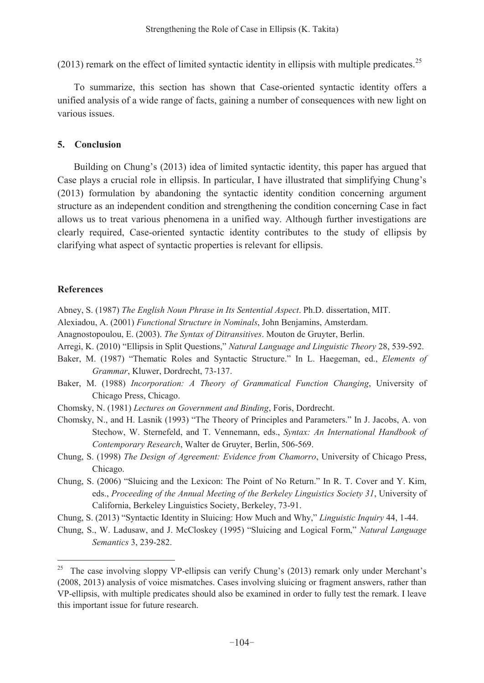$(2013)$  remark on the effect of limited syntactic identity in ellipsis with multiple predicates.<sup>25</sup>

To summarize, this section has shown that Case-oriented syntactic identity offers a unified analysis of a wide range of facts, gaining a number of consequences with new light on various issues.

### **5. Conclusion**

Building on Chung's (2013) idea of limited syntactic identity, this paper has argued that Case plays a crucial role in ellipsis. In particular, I have illustrated that simplifying Chung's (2013) formulation by abandoning the syntactic identity condition concerning argument structure as an independent condition and strengthening the condition concerning Case in fact allows us to treat various phenomena in a unified way. Although further investigations are clearly required, Case-oriented syntactic identity contributes to the study of ellipsis by clarifying what aspect of syntactic properties is relevant for ellipsis.

# **References**

- Abney, S. (1987) *The English Noun Phrase in Its Sentential Aspect*. Ph.D. dissertation, MIT.
- Alexiadou, A. (2001) *Functional Structure in Nominals*, John Benjamins, Amsterdam.
- Anagnostopoulou, E. (2003). *The Syntax of Ditransitives*. Mouton de Gruyter, Berlin.
- Arregi, K. (2010) "Ellipsis in Split Questions," *Natural Language and Linguistic Theory* 28, 539-592.
- Baker, M. (1987) "Thematic Roles and Syntactic Structure." In L. Haegeman, ed., *Elements of Grammar*, Kluwer, Dordrecht, 73-137.
- Baker, M. (1988) *Incorporation: A Theory of Grammatical Function Changing*, University of Chicago Press, Chicago.
- Chomsky, N. (1981) *Lectures on Government and Binding*, Foris, Dordrecht.
- Chomsky, N., and H. Lasnik (1993) "The Theory of Principles and Parameters." In J. Jacobs, A. von Stechow, W. Sternefeld, and T. Vennemann, eds., *Syntax: An International Handbook of Contemporary Research*, Walter de Gruyter, Berlin, 506-569.
- Chung, S. (1998) *The Design of Agreement: Evidence from Chamorro*, University of Chicago Press, Chicago.
- Chung, S. (2006) "Sluicing and the Lexicon: The Point of No Return." In R. T. Cover and Y. Kim, eds., *Proceeding of the Annual Meeting of the Berkeley Linguistics Society 31*, University of California, Berkeley Linguistics Society, Berkeley, 73-91.
- Chung, S. (2013) "Syntactic Identity in Sluicing: How Much and Why," *Linguistic Inquiry* 44, 1-44.
- Chung, S., W. Ladusaw, and J. McCloskey (1995) "Sluicing and Logical Form," Natural Language *Semantics* 3, 239-282.

<sup>&</sup>lt;sup>25</sup> The case involving sloppy VP-ellipsis can verify Chung's (2013) remark only under Merchant's (2008, 2013) analysis of voice mismatches. Cases involving sluicing or fragment answers, rather than VP-ellipsis, with multiple predicates should also be examined in order to fully test the remark. I leave this important issue for future research.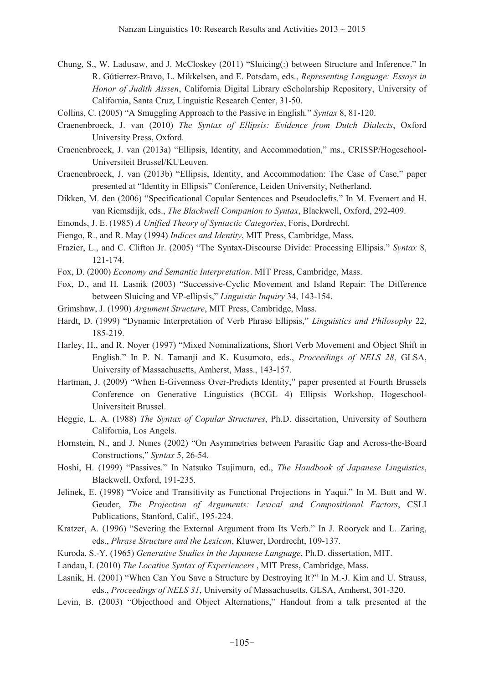- Chung, S., W. Ladusaw, and J. McCloskey (2011) "Sluicing(:) between Structure and Inference." In R. Gútierrez-Bravo, L. Mikkelsen, and E. Potsdam, eds., *Representing Language: Essays in Honor of Judith Aissen*, California Digital Library eScholarship Repository, University of California, Santa Cruz, Linguistic Research Center, 31-50.
- Collins, C. (2005) "A Smuggling Approach to the Passive in English." *Syntax* 8, 81-120.
- Craenenbroeck, J. van (2010) *The Syntax of Ellipsis: Evidence from Dutch Dialects*, Oxford University Press, Oxford.
- Craenenbroeck, J. van (2013a) "Ellipsis, Identity, and Accommodation," ms., CRISSP/Hogeschool-Universiteit Brussel/KULeuven.
- Craenenbroeck, J. van (2013b) "Ellipsis, Identity, and Accommodation: The Case of Case," paper presented at "Identity in Ellipsis" Conference, Leiden University, Netherland.
- Dikken, M. den (2006) "Specificational Copular Sentences and Pseudoclefts." In M. Everaert and H. van Riemsdijk, eds., *The Blackwell Companion to Syntax*, Blackwell, Oxford, 292-409.
- Emonds, J. E. (1985) *A Unified Theory of Syntactic Categories*, Foris, Dordrecht.
- Fiengo, R., and R. May (1994) *Indices and Identity*, MIT Press, Cambridge, Mass.
- Frazier, L., and C. Clifton Jr. (2005) "The Syntax-Discourse Divide: Processing Ellipsis." *Syntax* 8, 121-174.
- Fox, D. (2000) *Economy and Semantic Interpretation*. MIT Press, Cambridge, Mass.
- Fox, D., and H. Lasnik (2003) "Successive-Cyclic Movement and Island Repair: The Difference between Sluicing and VP-ellipsis," *Linguistic Inquiry* 34, 143-154.
- Grimshaw, J. (1990) *Argument Structure*, MIT Press, Cambridge, Mass.
- Hardt, D. (1999) "Dynamic Interpretation of Verb Phrase Ellipsis," *Linguistics and Philosophy* 22, 185-219.
- Harley, H., and R. Noyer (1997) "Mixed Nominalizations, Short Verb Movement and Object Shift in English.´ In P. N. Tamanji and K. Kusumoto, eds., *Proceedings of NELS 28*, GLSA, University of Massachusetts, Amherst, Mass., 143-157.
- Hartman, J. (2009) "When E-Givenness Over-Predicts Identity," paper presented at Fourth Brussels Conference on Generative Linguistics (BCGL 4) Ellipsis Workshop, Hogeschool-Universiteit Brussel.
- Heggie, L. A. (1988) *The Syntax of Copular Structures*, Ph.D. dissertation, University of Southern California, Los Angels.
- Hornstein, N., and J. Nunes (2002) "On Asymmetries between Parasitic Gap and Across-the-Board Constructions," *Syntax* 5, 26-54.
- Hoshi, H. (1999) "Passives." In Natsuko Tsujimura, ed., *The Handbook of Japanese Linguistics*, Blackwell, Oxford, 191-235.
- Jelinek, E. (1998) "Voice and Transitivity as Functional Projections in Yaqui." In M. Butt and W. Geuder, *The Projection of Arguments: Lexical and Compositional Factors*, CSLI Publications, Stanford, Calif., 195-224.
- Kratzer, A. (1996) "Severing the External Argument from Its Verb." In J. Rooryck and L. Zaring, eds., *Phrase Structure and the Lexicon*, Kluwer, Dordrecht, 109-137.
- Kuroda, S.-Y. (1965) *Generative Studies in the Japanese Language*, Ph.D. dissertation, MIT.
- Landau, I. (2010) *The Locative Syntax of Experiencers* , MIT Press, Cambridge, Mass.
- Lasnik, H. (2001) "When Can You Save a Structure by Destroying It?" In M.-J. Kim and U. Strauss, eds., *Proceedings of NELS 31*, University of Massachusetts, GLSA, Amherst, 301-320.
- Levin, B. (2003) "Objecthood and Object Alternations," Handout from a talk presented at the